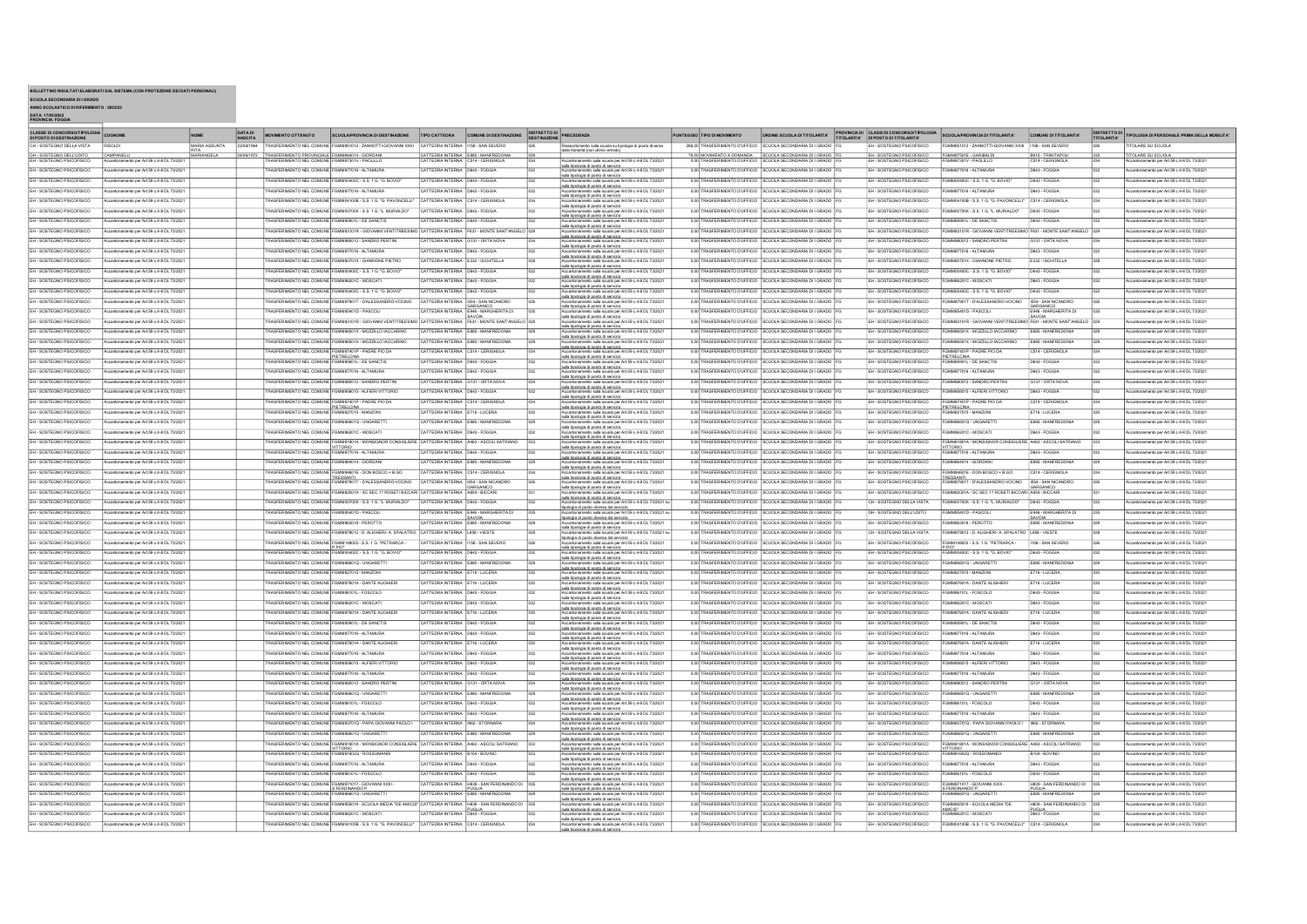| BOLLETTINO RISULTATI ELABORATI DAL SISTEMA (CON PROTEZIONE DEI DATI PERSONALI) |  |
|--------------------------------------------------------------------------------|--|

BOLLETTINO RISULTATI ELABORATI DAL SISTEMA (CON PROTEZIONE DEI DATI PERSONALI)<br>SCUOLA SECONDARIA DI I GRADO<br>DATA: 1705/2022<br>DATA: 1705/2023<br>DATA: FOGGIA<br>PROVINCIA: FOGGIA

| <b>CLASSE DI CONCORSO/TIPOLOGIA</b><br>DI POSTO DI DESTINAZIONE | COGNOME                                          | <b>NOME</b>           | <b>DATA DI</b><br><b>MOVIMENTO OTTENUTO</b><br><b>NASCITA</b> |                            | SCUOLA/PROVINCIA DI DESTINAZIONE                                                                                                                                | TIPO CATTEDRA                        | COMUNE DI DESTINAZIONE DISTRETTO DI                                      | PRECEDENZA                                                                                                                                                                                                                     |      | PUNTEGGIO TIPO DI MOVIMENTO           | ORDINE SCUOLA DI TITOLARITA' PROVINCIA DI CLASSI DI CONCORSO/TIPOLOGIA |                           | SCUOLA/PROVINCIA DI TITOLARITA'                                                                  | COMUNE DI TITOLARITA'              | <b>DISTRETTO DI</b><br>TITOLARITA | TIPOLOGIA DI PERSONALE PRIMA DELLA MOBILITA' |
|-----------------------------------------------------------------|--------------------------------------------------|-----------------------|---------------------------------------------------------------|----------------------------|-----------------------------------------------------------------------------------------------------------------------------------------------------------------|--------------------------------------|--------------------------------------------------------------------------|--------------------------------------------------------------------------------------------------------------------------------------------------------------------------------------------------------------------------------|------|---------------------------------------|------------------------------------------------------------------------|---------------------------|--------------------------------------------------------------------------------------------------|------------------------------------|-----------------------------------|----------------------------------------------|
| CH - SOSTEGNO DELLA VISTA                                       |                                                  | <b>ATHLIZZA AIRAN</b> |                                                               |                            | FRASFERIMENTO NEL COMUNE FGMMR51012 - ZANNOTTLGIOVANNI XXIII                                                                                                    | CATTEDRA INTERNA                     | <b>HAR. SAN SEVERO</b>                                                   | sulla scuola su tipologia di posto divers                                                                                                                                                                                      |      |                                       | 286.00 TRASFERIMENTO D'UFFICIO SCUOLA SECONDARIA DI I GRADO            | FH. SOSTEGNO PSICOFISICO  | MMS51012 - ZANNOTTLGIOVANNI XXIII                                                                | 158. SAN SEVERO                    |                                   | TOLARE SU SCUOLA                             |
| DH - SOSTEGNO DELL'UDITO                                        | CAMPANEL                                         | RITA<br>MARIANGELA    | 04/05/1972                                                    |                            |                                                                                                                                                                 |                                      | CATTEDRA INTERNA E885 - MANFREDONIA<br>CATTEDRA INTERNA C514 - CERIGNOLA | dalla titolarità (non ultimo entrato)                                                                                                                                                                                          |      | 79,00 MOVIMENTO A DOMANDA             | SCUOLA SECONDARIA DI I GRADO                                           | EH - SOSTEGNO PSICOFISICO | MM87501E - GARIBALDI                                                                             | B915 - TRINITAPOL                  |                                   | <b>TOLARE SU SCUOLA</b>                      |
| SOSTEGNO PSICOFISICO                                            | antonamento per Art.59 c.4-8 DL 73/202           |                       |                                                               | SFERIMENTO NEL COMUNI      |                                                                                                                                                                 |                                      |                                                                          | mento sulla scuola per Art.59 c.4-8 DL 73/2021<br>sulla tipologia di posto di servizio                                                                                                                                         |      | RASFERIMENTO D'UFFICIO                | CUOLA SECONDARIA DI I GRAD                                             |                           |                                                                                                  | 514 - CERIGNOL                     |                                   | cantonamento per Art.59 c.4-8 DL 73/2021     |
| EH - SOSTEGNO PSICOFISICO                                       | Accartonamento per Art.59 c.4-8 DL 73/202        |                       |                                                               |                            | RASFERIMENTO NEL COMUNE FGMM877016 - ALTAMURA                                                                                                                   | CATTERBA INTERNA D643 - FOGGIA       |                                                                          | sula scuola ner Art 59 c 4.8 DL 73/202                                                                                                                                                                                         |      |                                       | 0.00 TRASFERIMENTO D'UFFICIO SCUOLA SECONDARIA DI LGRADO               | EH - SOSTEGNO PSICOEISICO | FGMMS77016 - ALTAMURA                                                                            | D643 - FOGGIA                      |                                   | ccantonamento per Art.59 c.4-8 DL 73/202     |
| EH - SOSTEGNO PSICOFISICO                                       | cantonamento per Art.59 c.4-8 DL 73/202          |                       |                                                               |                            | RASFERIMENTO NEL COMUNE FGMM00400C - S.S. 1 G. "G. BOVI                                                                                                         | CATTEDRA INTERNA                     | D643 - FOGGIA                                                            | sula tipologia di posto di servizio<br>Accantonamento sulla scuola per Art.59 c.4-8 DL 73/202                                                                                                                                  |      | 0.00 TRASFERIMENTO D'UFFICIO          | SCUOLA SECONDARIA DI I GRADO                                           | EH - SOSTEGNO PSICOFISICO | GMM00400C - S.S. 1 G. "G. BOVIO                                                                  | D643 - FOGGIA                      |                                   | cantonamento per Art.59 c.4-8 DL 73/202      |
| EH - SOSTEGNO PSICOFISICO                                       | antonamento per Art.59 c.4-8 DL 73/203           |                       | RASFERIMENTO NEL COMUNI                                       |                            | GMM877016 - ALTAMU                                                                                                                                              | CATTEDRA INTERNA                     | D643 - FOGGV                                                             | sulla tipologia di posto di servizio<br>cantonamento sula scuola per Art.59 c.4-8 DL 73/2021                                                                                                                                   |      | 0.00 TRASFERIMENTO D'UFFICIO          | CUOLA SECONDARIA DI I GRADI                                            | H - SOSTEGNO PSICOFISICO  | M877016 - ALTAMUR                                                                                | 0643 - FOGGIA                      |                                   | cantonamento per Art.59 c.4-8 DL 73/202      |
| EH - SOSTEGNO PSICOFISICO                                       | Accartonamento per Art.59 c.4-8 DL 73/2021       |                       |                                                               |                            | RASFERIMENTO NEL COMUNE FGMM04100B - S.S. 1 G. "G. PAVONCELL!"                                                                                                  | CATTEDRA INTERNA C514 - CERIGNOLA    |                                                                          | sulla tipologia di posto di servizio<br>nem sacricem se social se meridiale<br>Accantonamento sulla scuola per Art.59 c.4-8 DL 73/2021                                                                                         |      |                                       | 0.00 TRASFERIMENTO D'UFFICIO SCUOLA SECONDARIA DI I GRADO              | EH - SOSTEGNO PSICOFISICO | 3MM04100B - S.S. 1 G. "G. PAVONCELLI"                                                            | C514 - CERIGNOLA                   |                                   | Accantonamento per Art.59 c.4-8 DL 73/2021   |
| EH - SOSTEGNO PSICOFISICO                                       | Accartonamento per Art.59 c.4-8 DL 73/202        |                       |                                                               |                            | FRASEERIMENTO NEL COMUNE FOMMOD700X . S.S. 1.G. 1. MURIALDO"                                                                                                    | CATTERBA INTERNA D543 - FOGGIA       |                                                                          | sulla tipologia di posto di servizio                                                                                                                                                                                           |      | 0.00 TRASFERIMENTO D'UEFICIO          | SCUOLA SECONDARIA DI LGRADO                                            | EH. SOSTEGNO PSICOEISICO  | GMMO0700X-SS 1G 1 MIRMIDO*                                                                       | hers, coopia                       |                                   | cantonamento per Art.59 c.4-8 DL 73/202      |
| EH - SOSTEGNO PSICOFISICO                                       | cantonamento per Art.59 c.4-8 DL 73/20           |                       | RASFERIMENTO NEL COMUNE                                       |                            |                                                                                                                                                                 | CATTEDRA INTERN                      | D543 - FOGGL                                                             | Accantonamento sulla scuola per Art.59 c.4-8 DL 73/2021<br>sulla ticologia di posto di senvizio<br>Accantonamento sulla scuola per Art.59 c.4-8 DL 73/2021<br>Accantonamento sulla scuola per Art.59 c.4-8 DL 73/2021          |      | 0.00 TRASFERIMENTO D'UFFICIO          | <b>UOLA SECONDARIA DI I GRADI</b>                                      | EH - SOSTEGNO PSICOFISICO | ASSI01L - DE SANCTIO                                                                             | 643 - FOGGU                        |                                   |                                              |
| EH - SOSTEGNO PSICOFISICO                                       | Accartonamento per Art.59 c.4-8 DL 73/202        |                       |                                                               | SFERIMENTO NEL COMUNE      | GMM83101R - GIOVANNI VENTITREESIM                                                                                                                               | CATTEDRA INTERNA                     | F631 - MONTE SANT'ANGEL                                                  | sula tipologia di posto di servizio<br>antonamento sula scuola per Art.59 c.4-8 DL 73/202                                                                                                                                      |      |                                       | 0.00 TRASFERIMENTO D'UFFICIO SCUOLA SECONDARIA DI I GRADO              | EH - SOSTEGNO PSICOFISICO | 01R - GIOVANNI VENTITREES                                                                        | 631 - MONTE SANT'ANGELO            |                                   | ccantonamento per Art.59 c.4-8 DL 73/20.     |
| EH - SOSTEGNO PSICOFISICO                                       |                                                  |                       |                                                               |                            |                                                                                                                                                                 |                                      |                                                                          | sulla tipologia di posto di servizio<br>Accantonamento sulla scuola per Art.59 c.4-8 DL 73/2021                                                                                                                                |      |                                       | 0.00 TRASFERIMENTO D'UFFICIO SCUOLA SECONDARIA DI I GRADO              |                           | CMMSS0012 - SANDRO PERTIN                                                                        | 131 - ORTA NOVA                    |                                   |                                              |
|                                                                 | Accartonamento per Art.59 c.4-8 DL 73/202        |                       |                                                               |                            | RASFERIMENTO NEL COMUNE FGMM880012 - SANDRO PERTIN                                                                                                              | CATTEDRA INTERNA                     | G131 - ORTA NOVA                                                         | sula tipologia di posto di servizio<br>Accantonamento sulla scuola per Art.59 c.4-8 DL 73/202                                                                                                                                  |      |                                       |                                                                        | H - SOSTEGNO PSICOFISICO  |                                                                                                  |                                    |                                   | cantonamento per Art 59 c 4-8 DL 73/202      |
| EH - SOSTEGNO PSICOFISICO                                       | antonamento per Art.59 c.4-8 DL 73/20            |                       |                                                               | SFERIMENTO NEL COMUNE      | GMM877016 - ALTAMUR                                                                                                                                             | CATTEDRA INTERNA                     | D643 - FOGGL                                                             | sulla tipologia di posto di servizio                                                                                                                                                                                           |      | 0,00 TRASFER<br><b>ENTO D'UFFICIO</b> | <b>JUOLA SECONDARIA DI I GRADI</b>                                     | EH - SOSTEGNO PSICOFISICO | MM877016 - ALTAMURA                                                                              | 643 - FOGGIA                       |                                   |                                              |
| EH - SOSTEGNO PSICOFISICO                                       | coantonamento per Art.59 c.4-8 DL 73/202         |                       |                                                               | ASFERIMENTO NEL COMUNE     | MM80701X - GIANNONE PIETRO                                                                                                                                      | CATTEDRA INTERNA E332 - ISCHITELLA   |                                                                          | Accantonamento sulla scuola per Art.59 c.4-8 DL 73/2021                                                                                                                                                                        | 0.00 | <b>TRASFERIMENTO D'UFFICIO</b>        | <b>SCUOLA SECONDARIA DI I GRADO</b>                                    | H - SOSTEGNO PSICOFISICO  | M80701X - GIANNONE PIETRO                                                                        | E332 - ISCHITELLA                  |                                   | cantonamento per Art.59 c.4-8 DL 73/202      |
| EH - SOSTEGNO PSICOFISICO                                       | Accartonamento per Art.59 c.4-8 DL 73/202        |                       |                                                               |                            | RASFERIMENTO NEL COMUNE FGMM00400C - S.S. 1 G. "G. BOVIO                                                                                                        | CATTEDRA INTERNA                     | D643 - FOGGIA                                                            | .<br>sulla ticologia di costo di servizio.<br>Accantonamento sulla scuola per Art.59 c.4-8 DL 73/2021                                                                                                                          |      | 0.00 TRASFERIMENTO D'UFFICIO          | SCUOLA SECONDARIA DI LGRADO                                            | H - SOSTEGNO PSICOFISICO  | WANDAMOC. S.S. 1 G. "G. BOVIO"                                                                   | D643 - FOGGIA                      |                                   | cartonamento per Art 59 o 4.8 DL 73/2021     |
| EH - SOSTEGNO PSICOFISICO                                       | onamento per Art.59 c.4-8 DL 73/202              |                       |                                                               | ASFERIMENTO NEL COMUNE     | REDOLF - MOSCAT                                                                                                                                                 | CATTEDRA INTERNA                     | D643 - FOGGM                                                             | sula tipologia di posto di servizio<br>Accantonamento sulla scuola per Art.59 c.4-8 DL 73/2021                                                                                                                                 |      | 0.00 TRASFERIMENTO D'UFFICIO          | CUOLA SECONDARIA DI I GRADO                                            | H - SOSTEGNO PSICOFISICO  | 201C - MOSCAT                                                                                    | D643 - FOGGIA                      |                                   |                                              |
| EH - SOSTEGNO PSICOFISICO                                       | cantonamento per Art.59 c.4-8 DL 73/202          |                       |                                                               | ASFERIMENTO NEL COMUNE     | GMM00400C - S.S. 1 G. "G. BOVIC                                                                                                                                 | CATTEDRA INTERNA                     | D643 - FOGGL                                                             | sulla ticologia di costo di servizio<br>antonamento sulla scuola per Art.59 c.4-8 DL 73/202                                                                                                                                    |      |                                       | 0.00 TRASFERIMENTO D'UFFICIO SCUOLA SECONDARIA DI I GRADO              | SOSTEGNO PSICOFISICO      | 0400C - S.S. 1 G. "G. BOVIO                                                                      | D643 - FOGGIA                      |                                   | ntonamento per Art.59 c.4-8 DL 73/202        |
| EH - SOSTEGNO PSICOFISICO                                       | ccartonamento ner Art 59 o 4.8 DL 73/202         |                       |                                                               |                            | ASEERIMENTO NEL COMUNE FOMMAZIONT JO'M ESSANDRO VOCINO                                                                                                          |                                      | CATTEREA INTERNA INS4 - SAN NICANDRO                                     | sulla tipologia di posto di servizio<br>sula scuola per Art.59 c.4-8 DL 73/202                                                                                                                                                 |      |                                       | 0.00 TRASFERIMENTO D'UEFICIO SCUOLA SECONDARIA DI LGRADO               | H. SOSTEGNO PSICOFISICO   | MMS7901T - D'ALESSANDRO-VOCINO                                                                   | INS4 - SAN NICANDRI                |                                   | cantonamento per Art 59 o 4-8 DL 73/202      |
| FH. SOSTEGNO PSICOFISICO                                        | contonamento per Art 59 o 4.8 DL 73/202          |                       |                                                               |                            | RASFERIMENTO NEL COMUNE FGMM85401D - PASCOL                                                                                                                     |                                      | GARGANICO                                                                | sulla tinologia di nosto di sensizia<br>ula scuola ner Art 59 c 4.8 DL 73/202                                                                                                                                                  |      |                                       | 0.00 TRASFERIMENTO D'UFFICIO SCUOLA SECONDARIA DI LGRADO               | EH - SOSTEGNO PSICOEISICO | COMMERCIATION DARCOLL                                                                            | GARGANICO<br>E946 - MARGHERITA DI  |                                   | anto per Art 59 p. 4.9 DJ 73/301             |
| EH - SOSTEGNO PSICOFISICO                                       | cantonamento per Art.59 c.4-8 DL 73/202          |                       |                                                               | ASFERIMENTO NEL COMUNE     | FGMM83101R - GIOVANNI VENT                                                                                                                                      | CATTEDRA INTERNA                     | SAVOIA<br>F631 - MONTE SANT'ANGELI                                       | sula tipologia di posto di servizio<br>sulla tipologia di posto di servizio<br>Accantonamento sulla scuola per Art.59 c.4-8 DL 73/2021                                                                                         |      | 0.00 TRASFERIMENTO D'UFFICIO          | SCUOLA SECONDARIA DI I GRADO                                           | EH - SOSTEGNO PSICOFISICO |                                                                                                  | SAVOIA<br>F631 - MONTE SANT'ANGELO |                                   | cantonamento per Art.59 c.4-8 DL 73/202      |
| EH - SOSTEGNO PSICOFISICO                                       | ccantonamento per Art 59 c.4-8 DL 73/202         |                       |                                                               | ASFERIMENTO NEL COMUNE     | GMM86501X - MOZZILLO IACCARINO                                                                                                                                  | CATTEDRA INTERNA                     | E885 - MANFREDONIA                                                       | sulla tipologia di posto di servizio<br>cantonamento sula scuola per Art.59 c.4-8 DL 73/2021                                                                                                                                   |      | 0.00 TRASFERIMENTO D'UFFICIO          | SCUOLA SECONDARIA DI I GRADO                                           | H - SOSTEGNO PSICOFISICO  | MM86501X - MOZZILLO IACCARINO                                                                    | E885 - MANFREDONI                  |                                   | ccantonamento per Art.59 c.4-8 DL 73/202     |
|                                                                 |                                                  |                       |                                                               |                            | RASFERIMENTO NEL COMUNE FGMM86501X - MOZZILLO IACCARINO                                                                                                         |                                      |                                                                          | sulla tipologia di posto di servizio<br>i poslo di servizio<br>o sula scuola per Art.59 c.4-8 DL 73/2021                                                                                                                       |      |                                       |                                                                        | EH - SOSTEGNO PSICOFISICO | GMM86501X - MOZZILLO IACCARINO                                                                   | E885 - MANFREDONIA                 |                                   |                                              |
| EH - SOSTEGNO PSICOFISICO                                       | Accartonamento per Art.59 c.4-8 DL 73/2021       |                       |                                                               |                            |                                                                                                                                                                 |                                      | CATTEDRA INTERNA E885 - MANFREDONIA                                      | sulla tipologia di posto di servizio<br>Accantonamento sulla scuola per Art.59 c.4-8 DL 73/202                                                                                                                                 |      |                                       | 0.00 TRASFERIMENTO D'UFFICIO SCUOLA SECONDARIA DI I GRADO              |                           |                                                                                                  |                                    |                                   | ccantonamento per Art.59 c.4-8 DL 73/2021    |
| EH - SOSTEGNO PSICOFISICO                                       | Accartonamento per Art.59 c.4-8 DL 73/20         |                       | RASFERIMENTO NEL COMUNE <sup>1</sup> FI                       |                            | M87401P - PADRE PIO D                                                                                                                                           | CATTEDRA INTERNA                     | C514 - CERIGNOLA                                                         | sulla ticologia di costo di servizio                                                                                                                                                                                           |      | 0,00 TRASFERIMENTO D'UFFICIO          | CUOLA SECONDARIA DI I GRADI                                            | EH - SOSTEGNO PSICOFISICO | MAR7401P - PADRE PIO DA                                                                          | C514 - CERIGNOLA                   |                                   | ccantonamento per Art.59 c.4-8 DL 73/20      |
| EH - SOSTEGNO PSICOFISICO                                       | ccantonamento per Art 59 c.4-8 DL 73/202         |                       |                                                               |                            | PIETRELCINA<br>RASFERIMENTO NEL COMUNE FGMM85901L - DE SANCTI                                                                                                   | CATTEDRA INTERNA                     | D643 - FOGGV                                                             | antonamento sulla scuola per Art.59 c.4-8 DL 73/202<br>sula tipologia di posto di servizio                                                                                                                                     |      | 0.00 TRASFERIMENTO D'UFFICIO          | SCUOLA SECONDARIA DI I GRADO                                           | EH - SOSTEGNO PSICOFISICO | PIETRELCINA<br>FGMM85901L - DE SANCTII                                                           | D643 - FOGGIA                      |                                   | cantonamento per Art.59 c.4-8 DL 73/202      |
| EH - SOSTEGNO PSICOFISICO                                       | Accartonamento per Art.59 c.4-8 DL 73/202        |                       |                                                               |                            | RASFERIMENTO NEL COMUNE FGMM877016 - ALTAMURA                                                                                                                   | CATTEDRA INTERNA D643 - FOGGIA       |                                                                          | sula scuola per Art.59 c.4-8 DL 73/2021                                                                                                                                                                                        |      |                                       | 000 TRASFERIMENTO D'IFFICIO SCUOLA SECONDARIA DI LGRADO                | FH. SOSTEGNO PSICOFISICO  | FGMM877016 - ALTAMURA                                                                            | D643 - FOGGIA                      |                                   | confonamento per Art 59 c 4-8 DL 73/202      |
| FH. SOSTEGNO PSICOFISICO                                        | cartonamento ner Art 59 c 4.8 DL 73/202          |                       |                                                               |                            | ASFERIMENTO NEL COMUNE FGMMS80012 - SANDRO PERTIN                                                                                                               | CATTEDRA INTERNA                     | G131 - ORTA NOVA                                                         | sulla tipologia di posto di sentizio<br>Accantonamento sulla scuola per Art.59 c.4-8 DL 73/2021<br>sulla tipologia di posto di sentizio                                                                                        |      | 0.00 TRASFERIMENTO D'UEFICIO          | SCUOLA SECONDARIA DI LGRADO                                            | FH. SOSTEGNO PSICOFISICO  | FGMM880012 - SANDRO PERTIN                                                                       | 1131 - ORTA NOV                    |                                   | ento per Art 59 c 4.8 DL 73/202              |
| EH - SOSTEGNO PSICOFISICO                                       | antonamento per Art.59 c.4-8 DL 73/202           |                       |                                                               |                            | RASFERIMENTO NEL COMUNE FGMM856015 - ALFIERI VITTORII                                                                                                           | CATTEDRA INTERNA                     | D643 - FOGGIA                                                            | Accantonamento sulla scuola per Art.59 c.4-8 DL 73/2021                                                                                                                                                                        |      | 0.00 TRASFERIMENTO D'UFFICIO          | CUOLA SECONDARIA DI I GRADO                                            | EH - SOSTEGNO PSICOFISICO | GMM856015 - ALFIERI VITTORIO                                                                     | 643 - FOGGIA                       |                                   | cantonamento per Art.59 c.4-8 DL 73/202      |
| EH - SOSTEGNO PSICOFISICO                                       | Accartonamento per Art.59 c.4-8 DL 73/2021       |                       |                                                               |                            | RASFERIMENTO NEL COMUNE FGMM87401P - PADRE PIO DA                                                                                                               | CATTEDRA INTERNA C514 - CERIGNOLA    |                                                                          | sulla tipologia di posto di servizio<br>ento sula scuola per Art.59 c.4-8 DL 73/2021                                                                                                                                           |      |                                       | 0.00 TRASFERIMENTO D'UFFICIO SCUOLA SECONDARIA DI I GRADO              | H - SOSTEGNO PSICOFISICO  | FGMM87401P - PADRE PIO DA                                                                        | C514 - CERIGNOLA                   |                                   | ccantonamento per Art.59 c.4-8 DL 73/2021    |
| FH. SOSTEGNO PSICOFISICO                                        | <b>Accardonamento ner Art 59 c 4.8 DL 73/202</b> |                       |                                                               |                            | PIETRELCINA                                                                                                                                                     | CATTERBA INTERNA E716-LUCERA         |                                                                          | ROGEncriamento anni accor principii.<br>sulla tipologia di posto di servizio.<br>Annantonamento sulla scuola per Art.59 c.4-8 DL 73/2021                                                                                       |      |                                       | 000 TRASFERIMENTO D'I FEICIO SCUOLA SECONDARIA DI LGRADO               | H. SOSTEGNO PSICOEISICO   | PIETRELCINA<br>FGMM827015 - MANZONI                                                              | 716 JUCERA                         |                                   | caránnamento per Art 59 o 4-8 DJ 73/202      |
| EH - SOSTEGNO PSICOFISICO                                       | cantonamento per Art.59 c.4-8 DL 73/202          |                       |                                                               | ASFERIMENTO NEL COMUNE FGM | 86601Q - UNGARET                                                                                                                                                | CATTEDRA INTERNA                     |                                                                          | sula tipologia di posto di servizio<br>Accantonamento sula scuola per Art.59 c.4-8 DL 73/2021                                                                                                                                  |      | 0.00 TRASFERIMENTO D'UFFICIO          | SCUOLA SECONDARIA DI I GRADO                                           | SOSTEGNO PSICOFISICO      |                                                                                                  | 885 - MANFREDONI                   |                                   | ntonamento per Art.59 c.4-8 DL 73/202        |
| EH - SOSTEGNO PSICOFISICO                                       |                                                  |                       |                                                               |                            | ASFERIMENTO NEL COMUNE FGMM86201C - MOSCA                                                                                                                       | CATTEDRA INTERNA D643 - FOGGIA       |                                                                          | sula tipologia di posto di servizio                                                                                                                                                                                            |      |                                       | 0.00 TRASFERIMENTO D'UFFICIO SCUOLA SECONDARIA DI I GRADO              | EH - SOSTEGNO PSICOFISICO | 86201C - MOSCAT                                                                                  | D643 - FOGGIA                      |                                   | ccantonamento per Art.59 c.4-8 DL 73/202     |
|                                                                 | Accartonamento per Art.59 c.4-8 DL 73/202        |                       |                                                               |                            |                                                                                                                                                                 |                                      |                                                                          | cantonamento sulla scuola per Art.59 c.4-8 DL 73/2021<br>sulla tipologia di posto di servizio                                                                                                                                  |      |                                       |                                                                        |                           |                                                                                                  |                                    |                                   |                                              |
| EH - SOSTEGNO PSICOFISICO                                       | Accantonamento per Art.59 c.4-8 DL 73/202        |                       |                                                               |                            | RASFERIMENTO NEL COMUNE FGMM81801A - MONSIGNOR CONSIGLIERE CATTEDRA INTERNA A463 - ASCOLI SATRIANO<br>VITTORIO<br>RASFERIMENTO NEL COMUNE FGMM877016 - ALTAMURA |                                      |                                                                          | ula scuola per Art.59 c.4-8 DL 73/2021<br>sula tipologia di posto di servizio<br>Accantonamento sulla scuola per Art.59 c.4-8 DL 73/2021                                                                                       |      |                                       | 0.00 TRASFERIMENTO D'UFFICIO SCUOLA SECONDARIA DI I GRADO              | EH - SOSTEGNO PSICOFISICO | FGMM81801A - MONSIGNOR CONSIGLIERE<br>VITTORIO<br>FGMM877016 - ALTAMURA                          | A463 - ASCOLI SATRIANO             |                                   | cantonamento per Art 59 c 4-8 DL 73/202      |
| FH. SOSTEGNO PSICOFISICO                                        | antonamento ner Art 59 o 4.8 DL 73/202           |                       |                                                               |                            |                                                                                                                                                                 | CATTERBA INTERNA R643 - FOGGIA       |                                                                          | sulla tipologia di posto di servizio                                                                                                                                                                                           |      |                                       | 0.00 TRASFERIMENTO D'UFFICIO SCUOLA SECONDARIA DI LGRADO               | FH. SOSTEGNO PSICOFISICO  |                                                                                                  | D643 - FOGGIA                      |                                   | erto ner Art 59 c 4.8 DL 73/202              |
| EH - SOSTEGNO PSICOFISICO                                       | ccantonamento per Art 59 c.4-8 DL 73/202         |                       |                                                               |                            | RASFERIMENTO NEL COMUNE FGMM864014 - GIORDAN                                                                                                                    | CATTEDRA INTERNA                     | E885 - MANFREDONIA                                                       | Accantonamento sulla scuola per Art.59 c.4-8 DL 73/2021<br>sulla tipologia di posto di servizio                                                                                                                                |      |                                       | 0.00 TRASFERIMENTO D'UFFICIO SCUOLA SECONDARIA DI I GRADO              | EH - SOSTEGNO PSICOFISICO | MM864014 - GIORDAN                                                                               | E885 - MANFREDONIA                 |                                   | ccantonamento per Art.59 c.4-8 DL 73/202     |
| EH - SOSTEGNO PSICOFISICO                                       | Accartonamento per Art.59 c.4-8 DL 73/202        |                       |                                                               |                            | RASFERIMENTO NEL COMUNE FGMM84601E - DON BOSCO + B.GO                                                                                                           | CATTEDRA INTERNA                     | C514 - CERIGNOLA                                                         | p sulla scuola per Art.59 c.4-8 DL 73/2021                                                                                                                                                                                     |      |                                       | 0.00 TRASFERIMENTO D'UFFICIO SCUOLA SECONDARIA DI I GRADO              | H - SOSTEGNO PSICOFISICO  | GMM84601E - DON BOSCO + B.GO                                                                     | C514 - CERIGNOLA                   |                                   | ccantonamento per Art.59 c.4-8 DL 73/202     |
| FH. SOSTEGNO PSICOFISICO                                        | Accartonamento ner Art 59 c 4.8 DL 73/202        |                       |                                                               |                            | TRESSANTI<br>FRASFERIMENTO NEL COMUNE FGMM87901T - D'ALESSANDRO-VOCINO                                                                                          | CATTERRA INTERNA 1054 - SAN NICANDRO |                                                                          | sulla ticologia di posto di servizio<br>Accantonamento sulla scuola per Art.59 c.4-8 DL 73/2021                                                                                                                                |      |                                       | 0.00 TRASFERIMENTO D'UEFICIO SCUOLA SECONDARIA DI LGRADO               | FH. SOSTEGNO PSICOFISICO  | TRESSANTI<br>FGMM87901T - D'ALESSANDRO-VOCINO                                                    | ID54 - SAN NICANDRO                |                                   | cantonamento ner Art 59 c 4.8 DL 73/202      |
| EH - SOSTEGNO PSICOFISICO                                       | Accartonamento per Art.59 c.4-8 DL 73/202        |                       |                                                               |                            | ASFERIMENTO NEL COMUNE FGMM82001A - SC SEC 17 ROSETI BICCARI CATTEDRA INTERNA                                                                                   |                                      | GARGANICO<br>A854 - BICCARI                                              | sula ticologia di posto di servizio<br>ccantonamento sulla scuola per Art.59 c.4-8 DL 73/2021                                                                                                                                  |      |                                       | 0.00 TRASFERIMENTO D'UFFICIO SCUOLA SECONDARIA DI I GRADO              | EH - SOSTEGNO PSICOFISICO | SMM82001A - SC SEC 17 ROSETI BICCARI A854 - BICCAR                                               |                                    |                                   | ccantonamento per Art.59 c.4-8 DL 73/202     |
| EH - SOSTEGNO PSICOFISICO                                       | Accardonamento ner Art 59 c 4.8 DL 73/202        |                       |                                                               |                            | 3ASFERMENTO NEL COMUNE FOMMOTODX . S.S. 1 G. 1. MURIALDO                                                                                                        | CATTEDRA INTERNA                     | D643 - FOGGU                                                             | sulla tipologia di posto di servizio<br>onamento sulla scuola per Art.59 c.4-8 DL 73/2021 si                                                                                                                                   |      | 0.00 TRASFERIMENTO D'I FEICIO         | SCUOLA SECONDARIA DI LGRADO                                            | CH. SOSTEGNO DELLA VISTA  | GMMODZDDX - S.S. 1 G. 1 MIRIAI DOT                                                               | D643 - FOGGIA                      |                                   | cantonamento per Art 59 o 4.8 DL 73/202      |
| EH - SOSTEGNO PSICOFISICO                                       | Accartonamento ner Art 59 o 4.8 DL 73/202        |                       |                                                               |                            | RASFERIMENTO NEL COMUNE FOMMSSIOLD - PASCOL                                                                                                                     |                                      | CATTERBA INTERNA FR45 - MARGHERITA D                                     | tipologia di posto diversa dal servizio<br>sula scuola ner Art 59 c 4.8 DL 73/2021 su                                                                                                                                          |      |                                       | 000 TRASFERIMENTO D'IFFICIO SCUOLA SECONDARIA DI LGRADO                | DH - SOSTEGNO DELL'UDITO  | ECMMERIATO DASCOLI                                                                               | F946 - MARGHERITA DI               |                                   | ento per Art 59 o 4.9 DL 73/301              |
| EH - SOSTEGNO PSICOFISICO                                       | artonamento ner Art 59 o 4.8 DL 73/202           |                       |                                                               |                            | ASFERIMENTO NEL COMUNE FOMMARIOUS - PEROTTI                                                                                                                     |                                      | SAVOIA<br>CATTEDRA INTERNA E885 - MANFREDONIA                            |                                                                                                                                                                                                                                |      | 0.00 TRASFERIMENTO D'UEFICIO          | <b>CUOLA SECONDARIA DU GRADO</b>                                       | EU - SOSTEGNO DSIGOEISICO | CAMISSIONS DEPOTTO                                                                               | SAVOIA<br>E885 - MANFREDONIA       |                                   | anto per Art 59 c 4.9 DL 73/301              |
| EH - SOSTEGNO PSICOFISICO                                       |                                                  |                       |                                                               |                            | RASFERIMENTO NEL COMUNE FGMM878012 - D. ALIGHERI- A. SPALATRO                                                                                                   | CATTEDRA INTERNA                     | L858 - VIESTE                                                            | Accordonation and social services and services and services and services and services and services and services and services and services and services and services and services and services and services and services and se |      |                                       |                                                                        | CH - SOSTEGNO DELLA VISTA | GMM878012 - D. ALIGHERI- A. SPALATRO                                                             | L858 - VIESTE                      |                                   | ccantonamento per Art.59 c.4-8 DL 73/202     |
|                                                                 | Accardonamento per Art.59 c.4-8 DL 73/202        |                       |                                                               |                            |                                                                                                                                                                 |                                      |                                                                          | Accantonamento sulla scuola per Art.59 c.4-8 DL 73/2021 si<br>tipologia di posto diversa dal servizio                                                                                                                          |      |                                       | 0,00 TRASFERIMENTO D'UFFICIO SCUOLA SECONDARIA DI I GRADO              |                           |                                                                                                  |                                    |                                   |                                              |
| EH - SOSTEGNO PSICOFISICO                                       | Accartonamento per Art.59 c.4-8 DL 73/2021       |                       |                                                               |                            | RASFERIMENTO NEL COMUNE FGMM148003 - S.S. 1 G. "PETRARCA -<br>P.PIO"<br>RASFERIMENTO NEL COMUNE FGMM00400C - S.S. 1 G. "G. BOVIO"                               | CATTEDRA INTERNA                     | 1158 - SAN SEVERO                                                        | to sula scuola per Art.59 c.4-8 DL 73/2021<br>ROGENonamento Sue acuere processo.<br>sulla tipologia di posto di senvizio.<br>Accantonamento sulla scuola per Art.59 c.4-8 DL 73/2021                                           |      |                                       | 0.00 TRASFERIMENTO D'UFFICIO SCUOLA SECONDARIA DI I GRADO              | EH - SOSTEGNO PSICOFISICO | FGMM148003 - S.S. 1 G. "PETRARCA -                                                               | 158 - SAN SEVERC                   |                                   | cantonamento per Art.59 c.4-8 DL 73/2021     |
| FH. SOSTEGNO PSICOFISICO                                        | Accardonamento ner Art 59 c 4.8 DL 73/202        |                       |                                                               |                            |                                                                                                                                                                 | CATTERRA INTERNA                     | D643 - FOGGIA                                                            | sulla tipologia di posto di servizio                                                                                                                                                                                           |      | 0.00 TRASFERIMENTO D'UEFICIO          | SCUOLA SECONDARIA DI LGRADO                                            | H. SOSTEGNO PSICOFISICO   | P.PIO"<br>FGMM00400C - S.S. 1 G. "G. BOVIO"                                                      | D643 - FOGGIA                      |                                   | antonamento per Art 59 c 4-8 DL 73/202       |
| EH - SOSTEGNO PSICOFISICO                                       | Accartonamento per Art.59 c.4-8 DL 73/202        |                       |                                                               |                            | RASFERIMENTO NEL COMUNE FGMM86601Q - UNGARETT                                                                                                                   |                                      | CATTEDRA INTERNA E885 - MANFREDONIA                                      | ccantonamento sulla scuola per Art.59 c.4-8 DL 73/202<br>sula tipologia di posto di servizio                                                                                                                                   |      |                                       | 0.00 TRASFERIMENTO D'UFFICIO SCUOLA SECONDARIA DI I GRADO              | EH - SOSTEGNO PSICOFISICO | FGMM86601Q - UNGARET                                                                             | E885 - MANFREDONIA                 |                                   | cantonamento per Art.59 c.4-8 DL 73/202      |
| EH - SOSTEGNO PSICOFISICO                                       | Accartonamento per Art.59 c.4-8 DL 73/2021       |                       |                                                               |                            | RASFERIMENTO NEL COMUNE FGMM827015 - MANZON                                                                                                                     | CATTEDRA INTERNA E716 - LUCERA       |                                                                          | sulla scuola per Art.59 c.4-8 DL 73/2021<br>sulla tipologia di posto di servizi                                                                                                                                                |      |                                       | 0.00 TRASFERIMENTO D'UFFICIO SCUOLA SECONDARIA DI I GRADO              | EH - SOSTEGNO PSICOFISICO | FOMM827015 - MANZONI                                                                             | E716 - LUCERA                      |                                   | contonamento per Art 59 c 4-8 DL 73/202      |
| EH - SOSTEGNO PSICOFISICO                                       | antonamento ner Art 59 o 4.8 DL 73/202           |                       |                                                               |                            | RASFERIMENTO NEL COMUNE FOMMSTRO1A - DANTE ALIGHIEI                                                                                                             | CATTEDRA INTERNA                     | <b>F716 JUCERA</b>                                                       | Accantonamento sulla scuola per Art.59 c.4-8 DL 73/2021<br>sulla tipologia di posto di senvizio<br>Accantonamento sulla scuola per Art.59 c.4-8 DL 73/2021                                                                     |      | 0.00 TRASFERIMENTO D'UEFICIO          | SCUOLA SECONDARIA DI LGRADO                                            | FH. SOSTEGNO PSICOFISICO  | FOMMS7601A - DANTE ALIGHIER                                                                      | <b>E716.11ICER4</b>                |                                   | anto per Art 50 p. 4.9 DL 73/30              |
| EH - SOSTEGNO PSICOFISICO                                       | antonamento per Art.59 c.4-8 DL 73/202           |                       |                                                               |                            | RASFERIMENTO NEL COMUNE FGMM86101L - FOSCOLI                                                                                                                    | CATTEDRA INTERNA                     | D543 - FOGGIA                                                            |                                                                                                                                                                                                                                |      | 0.00 TRASFERIMENTO D'UFFICIO          | <b>CUOLA SECONDARIA DI I GRADO</b>                                     | EH - SOSTEGNO PSICOFISICO | WARRATOLL, FOSCOLO                                                                               | D643 - FOGGIA                      |                                   | Art 59 c 4.8 DL 73/202                       |
| EH - SOSTEGNO PSICOFISICO                                       | Accartonamento per Art.59 c.4-8 DL 73/2021       |                       |                                                               |                            | RASFERIMENTO NEL COMUNE FGMM86201C - MOSCAT                                                                                                                     | CATTEDRA INTERNA D643 - FOGGIA       |                                                                          | sulla tipologia di posto di servizio<br>Accantonamento sulla scuola per Art.59 c.4-8 DL 73/2021                                                                                                                                |      |                                       | 0,00 TRASFERIMENTO D'UFFICIO SCUOLA SECONDARIA DI I GRADO              | EH - SOSTEGNO PSICOFISICO | MMS6201C - MOSCAT                                                                                | D643 - FOGGIA                      |                                   | Accantonamento per Art.59 c.4-8 DL 73/2021   |
| EH - SOSTEGNO PSICOFISICO                                       | Accartonamento ner Art 59 o 4.8 DL 73/202        |                       |                                                               |                            | <b>RASFERIMENTO NEL COMUNE FOMMSTROLA - DANTE ALIGHIER</b>                                                                                                      | CATTEREA INTERNA E716 JUICERA        |                                                                          | sulla tipologia di posto di servizio<br>sulla scuola ner Art 59 c.4.8 Di .73/2021                                                                                                                                              |      |                                       | 000 TRASFERIMENTO D'I FEICIO SCUOLA SECONDARIA DI LGRADO               | FH. SOSTEGNO PSICOEISICO  | FOMMS7601A - DANTE ALIGHIER                                                                      | <b>E716.11ICERA</b>                |                                   | ccaringamento per Art 59 c 4.8 DL 73/202     |
| FH. SOSTEGNO PSICOFISICO                                        | Accaritonamento per Art.59 c.4-8 DL 73/202       |                       |                                                               |                            | <b>DASCEDIMENTO NEL COMENE COMMISSIONE. DE SANCTIS</b>                                                                                                          | CATTEDRA INTERNA DAIS EOGOL          |                                                                          | mannew www.www.per.com<br>ologia di costo di servizio<br>onamento sulla scuola per Art.59 c.4-8 DL 73/2021                                                                                                                     |      |                                       | 0.00 TRASECRIMENTO DI ICEICIO ECCLIDI A SECONDARIA DI LGRADO           | CH CONTEGNO DEIGODIENTO   | CAMBROOM - DE SANCTIS                                                                            | nsez, concret                      |                                   | ento per Art.59 c.4-8 DI 73/202              |
| EH - SOSTEGNO PSICOFISICO                                       | Accantonamento per Art.59 c.4-8 DL 73/202        |                       |                                                               |                            | ASFERIMENTO NEL COMUNE FGMM877016 - ALTAMURA                                                                                                                    | CATTEDRA INTERNA D643 - FOGGIA       |                                                                          | sulla tipologia di posto di servizio<br>Accantonamento sulla scuola per Art.59 c.4-8 DL 73/202                                                                                                                                 |      |                                       | 0.00 TRASFERIMENTO D'UFFICIO SCUOLA SECONDARIA DI I GRADO              | EH - SOSTEGNO PSICOFISICO | GMM877016 - ALTAMURA                                                                             | D643 - FOGGIA                      |                                   | Accantonamento per Art.59 c.4-8 DL 73/202    |
| EH - SOSTEGNO PSICOFISICO                                       |                                                  |                       |                                                               |                            | 3ASFERIMENTO NEL COMUNE FGMM87601A - DANTE ALIGHIER                                                                                                             | CATTEDRA INTERNA E716 - LUCERA       |                                                                          | sulla tipologia di posto di servizio<br>sulla scuola per Art.59 c.4-8 DL 73/2021                                                                                                                                               |      |                                       | 0.00 TRASFERIMENTO D'UFFICIO SCUOLA SECONDARIA DI I GRADO              | EH - SOSTEGNO PSICOFISICO | FGMM87601A - DANTE ALIGHIER                                                                      | E716 - LUCERA                      |                                   | antonamento per Art 59 c 4-8 DL 73/202       |
| EH - SOSTEGNO PSICOFISICO                                       | ccantonamento per Art 59 c.4-8 DL 73/202         |                       |                                                               |                            | RASFERIMENTO NEL COMUNE FOMMAZZO15 - ALTAMURA                                                                                                                   | CATTERBA INTERNA D543 - FOGGIA       |                                                                          | sula tipologia di posto di servizio<br>Accantonamento sulla scuola per Art.59 c.4-8 DL 73/2021                                                                                                                                 |      |                                       | 0.00 TRASFERIMENTO D'UFFICIO SCUOLA SECONDARIA DI LGRADO               | FH. SOSTEGNO PSICOFISICO  | FGMM877016 - ALTAMURA                                                                            | D643 - FOGGIA                      |                                   |                                              |
|                                                                 | Accardonamento ner Art 59 c 4.8 DL 73/202        |                       |                                                               |                            |                                                                                                                                                                 |                                      |                                                                          | sulla ticologia di costo di servizio<br>Accantonamento sulla scuola per Art.59 c.4-8 DL 73/2021                                                                                                                                |      |                                       |                                                                        |                           |                                                                                                  |                                    |                                   | n ner Art 59 n 4-8 DL 73/202                 |
| EH - SOSTEGNO PSICOFISICO                                       | ento per Art.59 c.4-8 DL 73/202                  |                       |                                                               |                            | RASFERIMENTO NEL COMUNE FGMM856015 - ALFIERI VITTORI                                                                                                            | CATTEDRA INTERNA                     | D643 - FOGGV                                                             | sulla tipologia di posto di servizio                                                                                                                                                                                           |      | 0.00 TRASFERIMENTO D'UFFICIO          | <b>CUOLA SECONDARIA DI I GRADO</b>                                     | EH - SOSTEGNO PSICOFISICO | GMM856015 - ALFIERI VITTORI                                                                      | D643 - FOGGIA                      |                                   | to per Art.59 c.4-8 DL 73/202                |
| EH - SOSTEGNO PSICOFISICO                                       | Accartonamento per Art.59 c.4-8 DL 73/202        |                       |                                                               |                            | RASFERIMENTO NEL COMUNE FGMM877016 - ALTAMURA                                                                                                                   | CATTEDRA INTERNA D643 - FOGGIA       |                                                                          | Accantonamento sulla scuola per Art.59 c.4-8 DL 73/2021<br>sulla tipologia di posto di servizio                                                                                                                                |      |                                       | 0.00 TRASFERIMENTO D'UFFICIO SCUOLA SECONDARIA DI I GRADO              | EH - SOSTEGNO PSICOFISICO | GMM877016 - ALTAMURA                                                                             | D643 - FOGGIA                      |                                   | ccantonamento per Art.59 c.4-8 DL 73/2021    |
| FH. SOSTEGNO PSICOFISICO                                        | Accartonamento ner Art 59 c 4.8 DL 73/202        |                       |                                                               |                            | FRASEERIMENTO NEL COMUNE FOMMRROO12 - SANDRO PERTIN                                                                                                             | CATTERBA INTERNA 16131 - ORTA NOVA   |                                                                          | sula scuola ner Art 59 c.4.8 DL 73/2021                                                                                                                                                                                        |      |                                       | 0.00 TRASFERIMENTO D'UEFICIO SCUOLA SECONDARIA DI LGRADO               | FH., SOSTEGNO PSICOFISICO | CMMSS0012 - SANDRO PERTIN                                                                        | 3131 - ORTA NOVA                   |                                   | caránnamento per Art 59 o 4-8 DL 73/202      |
| EH - SOSTEGNO PSICOFISICO                                       | Accartonamento per Art.59 c.4-8 DL 73/202        |                       | RASEERIMENTO NEL COMUNE                                       |                            | MIRRORAD - IINCARETT                                                                                                                                            | CATTEDRA INTERNA                     | E995 MANEDERONIN                                                         | sulla tipologia di posto di sentizio<br>Sulla tipologia di posto di sentizio<br>Accantonamento sulla scuola per Art.59 c.4-8 DL 73/2021                                                                                        |      | 0.00 TRASFERIMENTO D'UEFICIO          | SCUOLA SECONDARIA DI LGRADO                                            | FH. SOSTEGNO PSICOFISICO  | COLO INCADET                                                                                     | COOK MANCOCHAN                     |                                   | ento per Art.59 c.4-8 DL 73/202              |
| EH - SOSTEGNO PSICOFISICO                                       | Accartonamento per Art.59 c.4-8 DL 73/202        |                       |                                                               |                            | RASFERIMENTO NEL COMUNE FGMM86101L - FOSCOLO                                                                                                                    | CATTEDRA INTERNA D643 - FOGGIA       |                                                                          | sulla tipologia di posto di servizio<br>Accantonamento sulla scuola per Art.59 c.4-8 DL 73/2021                                                                                                                                |      |                                       | 0.00 TRASFERIMENTO D'UFFICIO SCUOLA SECONDARIA DI I GRADO              | EH - SOSTEGNO PSICOFISICO | FOMMBRIDEL - FOSCOLO                                                                             | D643 - FOGGIA                      |                                   | ccartonamento ner Art 59 c 4-8 DL 73/202     |
| EH - SOSTEGNO PSICOFISICO                                       | Accartonamento ner Art 59 c 4.8 DL 73/202        |                       |                                                               |                            | RASFERIMENTO NEL COMUNE FOMMS77016 - ALTAMURA                                                                                                                   | CATTERBA INTERNA D543 - FOGGIA       |                                                                          | sulla tipologia di posto di servizio<br>sida scuola ner Art 59 c 4.8 DL 73/2021                                                                                                                                                |      |                                       | 0.00 TRASFERIMENTO DUFFICIO SCUOLA SECONDARIA DI LGRADO                | FH. SOSTEGNO PSICOFISICO  | COMMISSIONS ALTAMIDA                                                                             | D643 - FOGGIA                      |                                   | cantonamento ner Art 59 c 4.8 DL 73/202      |
| FH. SOSTEGNO PSICOFISICO                                        | intonamento per Art.59 c.4-8 DL 73/202           |                       |                                                               | ACCCOMENTO NEL COMINE      | MMS37010 - PAPA GIOVANNI PAOLO                                                                                                                                  | CATTEDRA INTERNA                     | 1002 CTORNAD                                                             | Accanionamento sulla scuola per Art.59 c.4-6 DL 73/2021<br>sulla tipologia di posto di servizio                                                                                                                                |      | 0.00 TRASFERIMENTO D'UFFICIO          | <b>CUOLA SECONDARIA DI LGRADO</b>                                      | EH. SOSTEGNO PSICOEISICO  | MARSTRIO - RARA GIOVANNI RAOLO                                                                   | 952. STORNAR                       |                                   | n ner Art 59 n 4-8 DL 73/20                  |
| EH - SOSTEGNO PSICOFISICO                                       | cantonamento per Art.59 c.4-8 DL 73/20           |                       |                                                               | RASFERIMENTO NEL COMUNE    | GMM86601Q - UNGARI                                                                                                                                              | CATTEDRA INTERNA                     | E885 - MANFREDONI                                                        | sulla tipologia di posto di servizio<br>Accantonamento sulla scuola per Art.59 c.4-8 DL 73/202                                                                                                                                 |      | 0,00 TRASFERIMENTO D'UFFICIO          | CUOLA SECONDARIA DI I GRADI                                            | H - SOSTEGNO PSICOFISICO  | 186601Q - UNGARET                                                                                | 885 - MANFREDON                    |                                   |                                              |
|                                                                 |                                                  |                       |                                                               |                            |                                                                                                                                                                 |                                      |                                                                          | sulla tipologia di posto di servizio<br>o sula scuola per Art.59 c.4-8 DL 73/2021                                                                                                                                              |      |                                       |                                                                        |                           |                                                                                                  |                                    |                                   |                                              |
| EH - SOSTEGNO PSICOFISICO                                       | Accartonamento per Art.59 c.4-8 DL 73/2021       |                       | RASFERIMENTO NEL COMUNE FGMMR16W                              |                            | RASFERIMENTO NEL COMUNE FGMM81801A - MONSIGNOR CONSIGLIERE CATTEDRA INTERNA A463 - ASCOLI SATRIANO<br><b>HOOD - ROSSOMANI</b>                                   |                                      |                                                                          | sula tipologia di posto di servizio<br>Accantonamento sulla scuola per Art.59 c.4-8 DL 73/2021                                                                                                                                 |      |                                       | 0.00 TRASFERIMENTO D'UFFICIO SCUOLA SECONDARIA DI I GRADO              | EH - SOSTEGNO PSICOFISICO | GMM81801A - MONSIGNOR CONSIGLIERE A463 - ASCOLI SATRIANO<br><b>/ITTORIO</b><br>16020 - ROSSOMANI |                                    |                                   | ccantonamento per Art.59 c.4-8 DL 73/2021    |
| FH. SOSTEGNO PSICOFISICO                                        | Accartonamento per Art.59 c.4-8 DL 73/202        |                       |                                                               |                            |                                                                                                                                                                 | CATTERRA INTERNA R104 - ROVINC       |                                                                          |                                                                                                                                                                                                                                |      |                                       | 0.00 TRASFERIMENTO D'UEFICIO SCUOLA SECONDARIA DI LGRADO               | FH. SOSTEGNO PSICOFISICO  |                                                                                                  | R104 - ROVINO                      |                                   | ento per Art 59 c 4.8 DL 73/202              |
| EH - SOSTEGNO PSICOFISICO                                       | Accartonamento per Art.59 c.4-8 DL 73/202        |                       |                                                               |                            | RASFERIMENTO NEL COMUNE FGMM877016 - ALTAMURA                                                                                                                   | CATTEDRA INTERNA D643 - FOGGM        |                                                                          | sulla ticologia di costo di servizio<br>Accantonamento sulla scuola per Art.59 c.4-8 DL 73/2021<br>sula tipologia di posto di servizio                                                                                         |      | 0.00 TRASFERIMENTO D'UFFICIO          | SCUOLA SECONDARIA DI I GRADO                                           | EH - SOSTEGNO PSICOFISICO | FOMMS77016 - ALTAMURA                                                                            | D643 - FOGGIA                      |                                   | 4t.59 c.4-8 DL 73/20                         |
| EH - SOSTEGNO PSICOFISICO                                       | Accartonamento per Art.59 c.4-8 DL 73/202        |                       |                                                               |                            | RASFERIMENTO NEL COMUNE FGMM86101L - FOSCOLO                                                                                                                    | CATTEDRA INTERNA D643 - FOGGIA       |                                                                          | Accantonamento sulla scuola per Art.59 c.4-8 DL 73/2021                                                                                                                                                                        |      |                                       | 0.00 TRASFERIMENTO D'UFFICIO SCUOLA SECONDARIA DI I GRADO              | EH - SOSTEGNO PSICOFISICO | FOMMBRIDEL - FOSCOLO                                                                             | D643 - FOGGIA                      |                                   | cartonamento per Art 59 c 4-8 DL 73/202      |
| FH. SOSTEGNO PSICOFISICO                                        | antonamento ner Art 59 o 4.8 DL 73/202           |                       |                                                               |                            | ASEERIMENTO NEL COMUNE FOMMS71017 - GIOVANNI XXI                                                                                                                | CATTEDRA INTERNA                     | HR39 - SAN FERDINANDO D                                                  |                                                                                                                                                                                                                                |      | 0.00 TRASFERIMENTO D'UEFICIO          | SCUOLA SECONDARIA DI LGRADO                                            | H. SOSTEGNO PSICOFISICO   | GMM871017 - GIOVANNI XXII                                                                        | HR39 - SAN FERDINANDO D            |                                   | Art 59 - 4.9 DL 73/30                        |
| EH - SOSTEGNO PSICOFISICO                                       | mto per Art.59 c.4-8 DL 73/202                   |                       |                                                               |                            | ERRINANDO  <br>  RASFERIMENTO NEL COMUNE   FGMM886MO<br>MQ-UNGARETTI                                                                                            |                                      | PUGLIA<br>CATTEDRA INTERNA E885 - MANFREDONIA                            | Accombonation of any of the state of the state of the state of any state of the state of the state of the state of the state of the state of the state of the state of the state of the state of the state of the state of the |      | 0.00 TRASFERIMENTO D'UFFICIO          | SCUOLA SECONDARIA DI LGRADO                                            | FH. SOSTEGNO PSICOFISICO  | FERDINANDO P.<br>GMM86601Q - UNGARETTI                                                           | PUGLIA<br>E885 - MANFREDONIA       |                                   | Art 59 n 4.8 DL 73/202                       |
| EH - SOSTEGNO PSICOFISICO                                       | intonamento per Art.59 c.4-8 DL 73/203           |                       |                                                               |                            | RASFERIMENTO NEL COMUNE FGMM855019 - SCUOLA MEDIA "DE AMICII                                                                                                    | CATTEDRA INTERNA                     | H839 - SAN FERD                                                          | sulla tipologia di posto di servizio<br>Accantonamento sulla scuola per Art.59 c.4-8 DL 73/2021                                                                                                                                |      | 0.00 TRASFERIMENTO D'UFFICIO          | CUOLA SECONDARIA DI I GRADO                                            | H - SOSTEGNO PSICOFISICO  | 3MM855019 - SCUOLA MEDIA "DE                                                                     | H839 - SAN FERDIN                  |                                   | ento per Art.59 c.4-8 DL 73/202              |
| FH. SOSTEGNO PSICOFISICO                                        | Accartonamento ner Art 59 c 4.8 DI 73/202        |                       |                                                               |                            | FRASEERIMENTO NEL COMUNE FOMMARZOIC - MOSCAT                                                                                                                    | CATTERBA INTERNA D643 - FOGGIA       | PUGLIA                                                                   | sulla tipologia di posto di servizio<br>silla scuola ner Art 59 c 4.8 DL 73/2021                                                                                                                                               |      |                                       | 000 TRASFERIMENTO D'UFFICIO SCUOLA SECONDARIA DI LGRADO                | EH - SOSTEGNO PSICOFISICO | AMICIS"<br>FOMMSR201C - MOSCAT                                                                   | PUGLIA<br>D643 - FOGGIA            |                                   | Iccaringamento ner Art 59 c 4-8 DL 73/2021   |
| EH - SOSTEGNO PSICOFISICO                                       | Accartonamento per Art 59 c.4-8 DL 73/2021       |                       |                                                               |                            | TRASFERIMENTO NEL COMUNE FOMMO4100B . S.S. 1 G. 19 PAVONCELLE CATTEDRA INTERNA CS14 . CERIGNOL                                                                  |                                      |                                                                          | sula tipologia di posto di servizio<br>Accantonamento sula scuola per Art.59 c.4-8 DL 73/2021                                                                                                                                  |      |                                       | 0.00 TRASFERIMENTO D'UEFICIO SCUOLA SECONDARIA DI LGRADO               | FH. SOSTEGNO PSICOFISICO  | ECMMONSOD CC 10 10 BAVONCELLE                                                                    | CELL CERVINOLA                     |                                   | Accantonamento per Art.59 c.4-8 DL 73/202    |
|                                                                 |                                                  |                       |                                                               |                            |                                                                                                                                                                 |                                      |                                                                          | da tingingia di nosto di servi                                                                                                                                                                                                 |      |                                       |                                                                        |                           |                                                                                                  |                                    |                                   |                                              |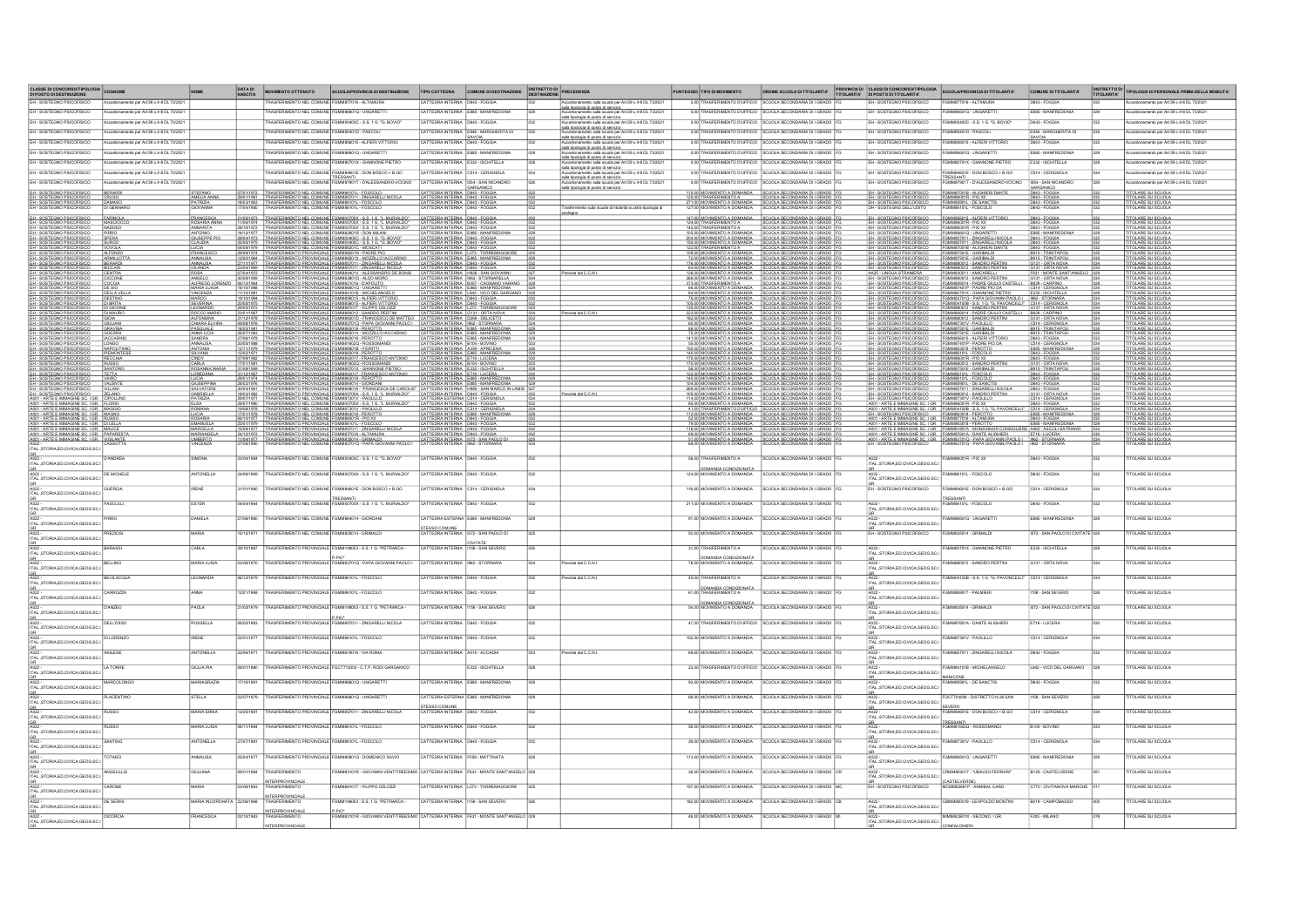| CLASSE DI CONCORSO/TIPOLOGIA<br>DI POSTO DI DESTINAZIONE<br>EH - SOSTEGNO PSICOFISICO                                                                                                                                                     | to per Art.59 c.4-8 DL 73/2                 |                                                      | DATA DI<br>NASCITA     | MOVIMENTO OTTENUTO<br>NEL COMUN                                                                                                                                                                                                    | SCUOLA/PROVINCIA DI DESTINAZIONE<br>MMR77016 - ALTAMURA                                                                                                                                                                                                                           | TIPO CATTEDRA<br>ATTERNA INTERNA                                                                                                               | COMUNE DI DESTINAZIONE<br>D643 - FOGGM                                                                      | DISTRETTO DI<br>DESTINAZIONE | <b>PRECEDENZA</b>                                                                                                                                                                                                                        | PUNTEGGIO TIPO DI MOVIMENTO<br>0,00 TRASFERIMENTO D'UFFICI                         | ORDINE SCUOLA DI TITOLARITA'<br><b>TIOLA SECONDARIA DI LGRAD</b>                                                                                                                                                                                                                                                                                                                                                                                                    | PROVINCIA DI CLASSI DI CONCORSO/TIPOLOGIA<br>TITOLARITA' DI POSTO DI TITOLARITA'<br>SOSTEGNO PSICOEISIC          | SCUOLA/PROVINCIA DI TITOLARITA'<br><b>7016 - ALTAMURA</b>                                                                                                                                                                      | COMUNE DI TITOLARITA'<br>643. FOGGIA                          | DISTRETTO DI<br>TITOLARITA' | TIPOLOGIA DI PERSONALE PRIMA DELLA MOBILITA                           |
|-------------------------------------------------------------------------------------------------------------------------------------------------------------------------------------------------------------------------------------------|---------------------------------------------|------------------------------------------------------|------------------------|------------------------------------------------------------------------------------------------------------------------------------------------------------------------------------------------------------------------------------|-----------------------------------------------------------------------------------------------------------------------------------------------------------------------------------------------------------------------------------------------------------------------------------|------------------------------------------------------------------------------------------------------------------------------------------------|-------------------------------------------------------------------------------------------------------------|------------------------------|------------------------------------------------------------------------------------------------------------------------------------------------------------------------------------------------------------------------------------------|------------------------------------------------------------------------------------|---------------------------------------------------------------------------------------------------------------------------------------------------------------------------------------------------------------------------------------------------------------------------------------------------------------------------------------------------------------------------------------------------------------------------------------------------------------------|------------------------------------------------------------------------------------------------------------------|--------------------------------------------------------------------------------------------------------------------------------------------------------------------------------------------------------------------------------|---------------------------------------------------------------|-----------------------------|-----------------------------------------------------------------------|
| FH. SOSTEGNO PSICOFISICO                                                                                                                                                                                                                  | antonamento ner Art 59 o 4.8 DL 73/201      |                                                      |                        | ASEERIMENTO NEL COMUNE                                                                                                                                                                                                             | <b>MMARG1O, UNGARETT</b>                                                                                                                                                                                                                                                          | CATTEDRA INTERNA                                                                                                                               | FRAS - MANEREDON                                                                                            |                              | Accantonamento sulla scuola per Art.59 c.4-8 DL 73/2021<br>sulla ticologia di costo di servizio<br>Accantonamento sulla scuola per Art.59 c.4-8 DL 73/2021                                                                               | 0.00 TRASFERIMENTO D'UEFICIO                                                       | <b>TIOLA SECONDARIA DI LGRADO</b>                                                                                                                                                                                                                                                                                                                                                                                                                                   | - SOSTEGNO PSICOFISICO                                                                                           | MARGARETY LINCARGTY                                                                                                                                                                                                            | <b>RRS. MANEREDONI</b>                                        |                             |                                                                       |
| FH. SOSTEGNO PSICOEISICO                                                                                                                                                                                                                  | Accartonamento per Art 59 c 4.8 DL 73/202   |                                                      |                        |                                                                                                                                                                                                                                    | RASFERIMENTO NEL COMUNE FOMMONDOC. S S 1 G 13 ROVIO                                                                                                                                                                                                                               | CATTERRA INTERNA DE43 - FOGGIA                                                                                                                 |                                                                                                             |                              | Accantonamento suna scuora per missorio - - - - - - -<br>sulla tipologia di posto di servizio<br>Accantonamento sulla scuola per Art.59 c.4-8 DL 73/2021                                                                                 | 0.00 TRASFERIMENTO D'UEFICIO                                                       | CIJOLA SECONDARIA DI LGRADO                                                                                                                                                                                                                                                                                                                                                                                                                                         | FH. SOSTEGNO PSICOFISICO                                                                                         | FGMMONDOC - S.S. 1 G. 15 BOVIO                                                                                                                                                                                                 | D643 - FOGGIA                                                 |                             | 459648017300                                                          |
| FH. SOSTEGNO PSICOFISICO                                                                                                                                                                                                                  | verbouw Art 50 o 4.9 PK 73/202              |                                                      |                        |                                                                                                                                                                                                                                    | ONEL COMINE ECMMERIAID BASCOL                                                                                                                                                                                                                                                     |                                                                                                                                                | CATTEDRA INTERNA E946 - MARGHERITA DI                                                                       |                              | sulla tipologia di posto di servizio<br>Accantonamento sulla scuola per Art.59 c.4-8 DL 73/2021                                                                                                                                          | 0.00 TRASFERIMENTO D'UEFICIO                                                       | <b>UPLA SCOONDARIA DI LCRADO</b>                                                                                                                                                                                                                                                                                                                                                                                                                                    | EH - SOSTEGNO PSICOEISICO                                                                                        | COMMISSION DASCOL                                                                                                                                                                                                              | FRIA - MARGHERITA D                                           |                             |                                                                       |
| EH - SOSTEGNO PSICOFISICO                                                                                                                                                                                                                 |                                             |                                                      |                        | NEL COMUNE                                                                                                                                                                                                                         | MMR56015 - ALEIERLVITTORI                                                                                                                                                                                                                                                         | SAVOIA<br>CATTEDRA INTERNA D643 - FOGGIA                                                                                                       |                                                                                                             |                              |                                                                                                                                                                                                                                          | 0.00 TRASFERIMENTO D'UFFICIO                                                       |                                                                                                                                                                                                                                                                                                                                                                                                                                                                     | H. SOSTEGNO PSICOFISICO                                                                                          | WAARROOF ALFIERLYTTORY                                                                                                                                                                                                         | SAVOIA<br>D643 - FOGGIA                                       |                             |                                                                       |
| FH. SOSTEGNO PSICOFISICO                                                                                                                                                                                                                  | Accordonationals per Art 50 o 4.9 DL 73/207 |                                                      |                        |                                                                                                                                                                                                                                    | <b>JENTO NEL COMUNE FOMMRASOLO JUNGARETT</b>                                                                                                                                                                                                                                      | CATTEREA INTERNA ERRS - MANEREDONI                                                                                                             |                                                                                                             |                              | Accords member of side conducts and states and the SC 48 DC 73/021<br>state fissions of sociols of states and states and states are considered as<br>$\sim$ 2000 member of side conducts and states and states are considered as<br>a co | 0.00 TRASFERIMENTO D'UEFICIO                                                       | <b>TIOLA SECONDARIA DI LGRADO</b>                                                                                                                                                                                                                                                                                                                                                                                                                                   | H. SOSTEGNO PSICOFISICO                                                                                          | CMMS66010 JINGARETT                                                                                                                                                                                                            | FRRS. MANEREDONI                                              |                             |                                                                       |
| FH. SOSTEGNO PSICOFISICO                                                                                                                                                                                                                  |                                             |                                                      |                        | NEL COMUNE                                                                                                                                                                                                                         | FGMM80701X - GIANNONE PIETRI                                                                                                                                                                                                                                                      | CATTEREA INTERNA E332 - ISCHITELLA                                                                                                             |                                                                                                             |                              |                                                                                                                                                                                                                                          | 0.00 TRASFERIMENTO D'UFFICIO                                                       |                                                                                                                                                                                                                                                                                                                                                                                                                                                                     | H. SOSTEGNO PSICOFISICO                                                                                          | MMS0701X - GIANNONE PIETRO                                                                                                                                                                                                     | <b>F332 - ISCHITELLA</b>                                      |                             |                                                                       |
| EH - SOSTEGNO PSICOFISICO<br>EH - SOSTEGNO PSICOFISICO                                                                                                                                                                                    | Accartonamento per Art 59 c.4-8 DL 73/202   |                                                      |                        |                                                                                                                                                                                                                                    | 601E - DON BOSCO + B.GO<br>THESSANTI<br>RASFERIMENTO NEL COMUNE FGMM87901T - D'ALESSANDRO-VOCINO                                                                                                                                                                                  | CATTEDRA INTERNA<br>CATTEDRA INTERNA 1054 - SAN NICANDR                                                                                        | C514 - CERIGNOL                                                                                             |                              |                                                                                                                                                                                                                                          | 0,00 TRASFE<br>0,00 TRASFERIMENTO D'UFFICIO                                        | CUOLA SECONDARIA DI LGRADO                                                                                                                                                                                                                                                                                                                                                                                                                                          | - SOSTEGNO PSICOFISICO<br>H - SOSTEGNO PSICOFISICO                                                               | 84601E - DON BOSCO + B.GO<br>TRESSANTI<br>FGMM87901T - D'ALESSANDRO-VOCINO                                                                                                                                                     | 2514 - CERIGNOLA<br>054 - SAN NICANDRI                        |                             | to per Art.59 c.4-8 DL 73/202                                         |
| EH - SOSTEGNO PSICOFISICO                                                                                                                                                                                                                 |                                             |                                                      |                        | 07/01/1972 TRASFERIMENTO NEL COMUNE FG                                                                                                                                                                                             | MB6101L - FOSCOLO                                                                                                                                                                                                                                                                 | GARGANICO                                                                                                                                      |                                                                                                             |                              | sulla tipologia di posto di servizio                                                                                                                                                                                                     |                                                                                    | 110.00 MOVIMENTO A DOMANDA SCUOLA SECONDARIA DI I GRADO                                                                                                                                                                                                                                                                                                                                                                                                             | EH - SOSTEGNO PSICOFISICO                                                                                        | MM87001B - ALIGHIERI DANTE                                                                                                                                                                                                     | GARGANICO<br>D643 - FOGGIA                                    |                             | <b>OLARE SU SCUOLA</b>                                                |
| EH - SOSTEGNO PSICOFISICO<br>EH - SOSTEGNO PSICOFISICO<br>EH - SOSTEGNO PSICOFISICO                                                                                                                                                       | BERARD                                      | AMELIA ANNA<br>PATRIZIA<br>GIOVANNA                  |                        |                                                                                                                                                                                                                                    | 29/01/1981 TRASFERMENTO NEL COMUNE FOMM857011 - 2NGARELI NICOLA<br>18/03/1993 TRASFERMENTO NEL COMUNE FOMM867011 - 7DKGOLO<br>17/04/1980 TRASFERMENTO NEL COMUNE FOMM86101L - FOSCOLO                                                                                             | CATTEDRA INTERNA D543 - FOGGIA<br>CATTEDRA INTERNA D543 - FOGGIA<br>CATTEDRA INTERNA D543 - FOGGIA                                             |                                                                                                             |                              |                                                                                                                                                                                                                                          | 125.00 TRASFERIMENTO A<br>271,00 MOVIMENTO A DOMANDA<br>127,00 MOVIMENTO A DOMANDA | SCUOLA SECONDARIA DI IGRADO<br>  SCUOLA SECONDARIA DI IGRADO  <br>  SCUOLA SECONDARIA DI IGRADO                                                                                                                                                                                                                                                                                                                                                                     | EH - SOSTEGNO PSICOFISICO<br>EH - SOSTEGNO PSICOFISICO<br>DH - SOSTEGNO DELL'UDITO                               | 8001R - PIO XII<br>85901L - DE SANCTIS                                                                                                                                                                                         | D643 - FOGGIA<br>D643 - FOGGIA<br>D643 - FOGGIA               |                             | ITOLARE SU SCUOLA<br>ITOLARE SU SCUOLA<br>ITOLARE SU SCUOLA           |
| EH - SOSTEGNO PSICOFISICO                                                                                                                                                                                                                 |                                             |                                                      |                        |                                                                                                                                                                                                                                    |                                                                                                                                                                                                                                                                                   | CATTEDRA INTERNA D543 - FOGGL                                                                                                                  |                                                                                                             |                              | imento sulla scuola di titolarità su altra tipologia di<br>steano                                                                                                                                                                        |                                                                                    | 147,00 MOVIMENTO A DOMANDA SCUOLA SECONDARIA DI I GRADO                                                                                                                                                                                                                                                                                                                                                                                                             | EH - SOSTEGNO PSICOFISICO                                                                                        | 6015 - ALFIERI VITTORIO                                                                                                                                                                                                        |                                                               |                             | <b>OLARE SU SCUOLA</b>                                                |
| EH - SOSTEGNO PSICOFISICO<br>EH - SOSTEGNO PSICOFISICO                                                                                                                                                                                    | MASCIOCCO<br>NADDEQ                         | FRANCESCA<br>ROSARIA ANNA                            |                        |                                                                                                                                                                                                                                    | 21/05/1973 TRASFERIMENTO NEL COMUNE FGMM00700X - S.S. 1 G. "L. MURIALDO"<br>11/06/1974 TRASFERIMENTO NEL COMUNE FGMM00700X - S.S. 1 G. "L. MURIALDO"                                                                                                                              | CATTEDRA INTERNA D543 - FOGGIA                                                                                                                 |                                                                                                             |                              |                                                                                                                                                                                                                                          | 124.00 TRASFERIMENTO A                                                             | SCUOLA SECONDARIA DI I GRADO<br>SCUOLA SECONDARIA DI I GRADO                                                                                                                                                                                                                                                                                                                                                                                                        | EH - SOSTEGNO PSICOFISICO                                                                                        |                                                                                                                                                                                                                                | D643 - FOGGIA                                                 | 032                         | <b>OLARE SU SCUOLA</b>                                                |
| EH - SOSTEGNO PSICOFISICO<br>EH - SOSTEGNO PSICOFISICO                                                                                                                                                                                    | PIRRO<br>SPERA                              | ANNARITA<br>ANTONIO<br>GIUSEPPE PIO                  |                        |                                                                                                                                                                                                                                    | 28/10/1972 TRASFERMENTO NEL COMUNE FOMMO0700X - S.S. 1.G. "L. MURIALDO"<br>16/12/1977 TRASFERMENTO NEL COMUNE FOMMO2001R - DON MILANI<br>2809/1973 TRASFERMENTO NEL COMUNE FOMMO900C - S.S. 1.G. "G. BOVIO"                                                                       | CATTEDRA INTERNA D543 - FOGGIA<br>CATTEDRA INTERNA E885 - MANFREDONIA<br>CATTEDRA INTERNA D543 - FOGGIA                                        |                                                                                                             |                              |                                                                                                                                                                                                                                          |                                                                                    | 142.00 TRASFERIMENTO A SCUOLA SECONDARIA DI IGRADO<br>105,00 MOVIMENTO A DOMANDA SCUOLA SECONDARIA DI IGRADO<br>204.00 MOVIMENTO A DOMANDA SCUOLA SECONDARIA DI IGRADO                                                                                                                                                                                                                                                                                              | EH - SOSTEGNO PSICOFISICO<br>EH - SOSTEGNO PSICOFISICO<br>EH - SOSTEGNO PSICOFISICO                              | 486001R - PIO XII<br>486001R - PIO XII<br>486601Q - UNGARETTI<br>4857011 - ZINGARELLI NICOLA                                                                                                                                   | D643 - FOGGIA<br>E885 - MANFREDONIA<br>D643 - FOGGIA          |                             | ITOLARE SU SCUOLA<br>ITOLARE SU SCUOLA<br>ITOLARE SU SCUOLA           |
| EH - SOSTEGNO PSICOFISICO<br>EH - SOSTEGNO PSICOFISICO<br>EH - SOSTEGNO PSICOFISICO                                                                                                                                                       | SURGO<br>VOVOLA                             | <b>CLAUDIA</b><br>EUCIA<br>FRANCESCO                 |                        |                                                                                                                                                                                                                                    | 25/05/1975 TRASFERIMENTO NEL COMUNE FOMMONOC - S.S. 1.G. "G. BOVIO"<br>04/08/1979 TRASFERIMENTO NEL COMUNE FOMM88201C - MOSCATI<br>20/09/1974 TRASFERIMENTO PROVINCIALE FOMM88201N - PADRE PIO                                                                                    | CATTEDRA INTERNA D543 - FOGGIA                                                                                                                 | CATTEDRA INTERNA D543 - FOGGIA<br>CATTEDRA INTERNA L273 - TORREMAGGIORE                                     |                              |                                                                                                                                                                                                                                          |                                                                                    | 150.00 MOVIMENTO A DOMANDA SCUOLA SECONDARIA DI I GRADO<br>122.00 TRASFERIMENTO A SCUOLA SECONDARIA DI I GRADO<br>109.00 MOVIMENTO A DOMANDA SCUOLA SECONDARIA DI I GRADO                                                                                                                                                                                                                                                                                           | EH - SOSTEGNO PSICOFISICO<br>EH - SOSTEGNO PSICOFISICO<br>EH - SOSTEGNO PSICOFISICO                              | FGMM857011 - ZINGARELLI NICOLA<br>FGMM87001B - ALIGHIERI DANTE<br>FGMM87501E - GARIBALDI                                                                                                                                       | D643 - FOGGIA<br>D643 - FOGGIA<br>B915 - TRINITAPOL           |                             | <b>ITOLARE SU SCUOLA</b><br>TOLARE SU SCUOLA<br>TOLARE SU SCUOLA      |
| EH - SOSTEGNO PSICOFISICO<br>EH - SOSTEGNO PSICOFISICO                                                                                                                                                                                    | ARMILLOTTA<br>BERARDI                       | <b>ANNALISA</b>                                      |                        |                                                                                                                                                                                                                                    |                                                                                                                                                                                                                                                                                   |                                                                                                                                                |                                                                                                             |                              |                                                                                                                                                                                                                                          |                                                                                    |                                                                                                                                                                                                                                                                                                                                                                                                                                                                     | EH - SOSTEGNO PSICOFISICO                                                                                        | FGMM87501E - GARIBALDI<br>GMM880012 - SANDRO PERTIN                                                                                                                                                                            | B915 - TRINITAPOLI<br>G131 - ORTA NOVA                        |                             | <b>ITOLARE SU SCUOLA</b><br><b>TOLARE SU SCUOLA</b>                   |
| EH - SOSTEGNO PSICOFISICO<br>EH - SOSTEGNO PSICOFISICO<br>EH - SOSTEGNO PSICOFISICO                                                                                                                                                       | BICCAR<br>CENTRA                            | ANNALISA                                             |                        |                                                                                                                                                                                                                                    |                                                                                                                                                                                                                                                                                   |                                                                                                                                                |                                                                                                             |                              | Prevista dal C.C.N.                                                                                                                                                                                                                      |                                                                                    |                                                                                                                                                                                                                                                                                                                                                                                                                                                                     | EH - SOSTEGNO PSICOFISICO<br>AA25 - LINGUA STRANIERA<br>EH - SOSTEGNO PSICOFISICO                                | FGMM880012 - SANDRO PERTINI<br>FGMM830011 - AMICARELLI<br>FGMM880012 - SANDRO PERTINI                                                                                                                                          | G131 - ORTA NOV<br>F631 - MONTE SANT'ANGE<br>G131 - ORTA NOVA |                             | TOLARE SU SCUOLA<br>OLARE SU SCUOLA                                   |
| EH - SOSTEGNO PSICOFISICO<br>EH - SOSTEGNO PSICOFISICO<br>EH - SOSTEGNO PSICOFISICO                                                                                                                                                       | CICCONE<br>COCCIA                           | ANGELO<br>ALFREDO LOREN                              |                        |                                                                                                                                                                                                                                    | 06/12/1994 TRASFERMENTO PROVINCIALE FOMM821016 - D'APOLITO<br>18/10/1988 TRASFERMENTO PROVINCIALE FOMM86010 - UNGARETTI<br>11/10/1981 TRASFERMENTO PROVINCIALE FOMM84101B - MICHELANGELO                                                                                          |                                                                                                                                                | CATTEDRA INTERNA B357 - CAGNANO VARANO                                                                      |                              |                                                                                                                                                                                                                                          |                                                                                    |                                                                                                                                                                                                                                                                                                                                                                                                                                                                     | EH - SOSTEGNO PSICOFISICO<br>EH - SOSTEGNO PSICOFISICO<br>EH - SOSTEGNO PSICOFISICO                              | FGMM806014 - PADRE GIULIO CASTELLI B829 - CARPIN                                                                                                                                                                               |                                                               |                             | TOLARE SU SCUOLA<br><b>ITOLARE SU SCUOLA</b>                          |
|                                                                                                                                                                                                                                           | DE SIO<br><b>DELLA VELLA</b><br>DESTINO     | MARIA LUIGIA<br><b>VINCENZA</b><br>MARCO             |                        |                                                                                                                                                                                                                                    |                                                                                                                                                                                                                                                                                   |                                                                                                                                                | CATTEDRA INTERNA E885 - MANFREDONIA 021                                                                     |                              |                                                                                                                                                                                                                                          |                                                                                    | $\frac{\frac{3600 \text{ MO} \times \text{N}}{1000 \text{ MO} \times \text{N}}}{\frac{1000 \text{ NO} \times \text{N}}{1000 \text{ MO} \times \text{N}} \times \frac{1000 \text{ NO} \times \text{N}}{1000 \text{ NO} \times \text{N}} \times \frac{1000 \text{ NO} \times \text{N}}{1000 \text{ NO} \times \text{N}} \times \frac{1000 \text{ NO} \times \text{N}}{1000 \text{ NO} \times \text{N}} \times \frac{1000 \text{ NO} \times \text{N}}{1000 \text{ NO}$ | EH - SOSTEGNO PSICOFISICO                                                                                        | FGMM87401P - PADRE PIO DA<br>FGMM80701X - GIANNONE PIETRO<br>FGMM83701Q - PAPA GIOVANNI PAOLO I                                                                                                                                | C514 - CERIGNOLA<br>1962 - STORNARA                           |                             | ITOLARE SU SCUOLA.<br>ITOLARE SU SCUOLA<br><b>ITOLARE SU SCUOLA</b>   |
| EH - SOSTEGNO PSICOFISICO<br>EH - SOSTEGNO PSICOFISICO<br>EH - SOSTEGNO PSICOFISICO                                                                                                                                                       | DI BRITA<br><b>DI GIOVINE</b>               | SEVERINA<br>LEONARDO                                 |                        |                                                                                                                                                                                                                                    | 1910/1994 TRASFERMENTO PROVINCIALE FOMMBS0015 - ALFIERIVITTORIO<br>2005/1975 TRASFERMENTO PROVINCIALE FOMMBS0015 - ALFIERIVITTORIO<br>2005/1972 TRASFERMENTO PROVINCIALE FOMMB8101T - FILIPPO CELOZZI                                                                             |                                                                                                                                                | CATTEDRA INTERNA DE 12 - FOGGIA<br>CATTEDRA INTERNA DE 13 - FOGGIA<br>CATTEDRA INTERNA L273 - TORREMAGGIORE |                              |                                                                                                                                                                                                                                          |                                                                                    |                                                                                                                                                                                                                                                                                                                                                                                                                                                                     | EH - SOSTEGNO PSICOFISICO                                                                                        | FGMM04100B - S.S. 1 G. "G. PAVONCELLI" C514 - CERIGNOLA<br>FGMM880012 - SANDRO PERTINI                                                                                                                                         | G131 - ORTA NOVA                                              |                             | OLARE SU SCUOLA<br>TOLARE SU SCUOLA                                   |
| EH - SOSTEGNO PSICOFISICO<br>EH - SOSTEGNO PSICOFISICO<br>EH - SOSTEGNO PSICOFISICO                                                                                                                                                       | DIMAURO<br>GIOIA                            | ROCCO MARIO<br><b>ALFONSINA</b>                      |                        |                                                                                                                                                                                                                                    | 2301/1967 TRASFERMENTO PROVINCIALE FOMM890012 - SANDRO PERTINI CATTEDRA INTERNA (S131 - ORTA NOVA)<br>311/291978   TRASFERMENTO PROVINCIALE FOMM89010 - FRANCESCO DE MATTEO   CATTEDRA NITERNA   0239 - DELICETO<br>[081981978   TRA                                              |                                                                                                                                                |                                                                                                             |                              | Prevista dal C.C.N.                                                                                                                                                                                                                      |                                                                                    | 223.00 MOVIMENTO A DOMANDA SCUOLA SECONDARIA DI IGRADO F<br>182.00 MOVIMENTO A DOMANDA SCUOLA SECONDARIA DI IGRADO F<br>60.00 MOVIMENTO A DOMANDA SCUOLA SECONDARIA DI IGRADO F                                                                                                                                                                                                                                                                                     | EH - SOSTEGNO PSICOFISICO<br>EH - SOSTEGNO PSICOFISICO<br>EH - SOSTEGNO PSICOFISICO                              | FGMM806014 - PADRE GIULIO CASTELLI   B829 - CARPINO<br>80012 - SANDRO PERTINI                                                                                                                                                  | G131 - ORTA NOV                                               |                             | <b>ITOLARE SU SCUOLA</b><br>OLARE SU SCUOLA                           |
| EH - SOSTEGNO PSICOFISICO<br>EH - SOSTEGNO PSICOFISICO                                                                                                                                                                                    | GIULIANI<br>GRAVINA<br>GUERRA               | CHIARA ELVIRA<br>PASQUALE<br>ANNA LICIA              |                        | 18/05/1981 TRASFERIMENTO PROVINCIALE FGMM853018 - PEROTTO<br>26/07/1983 TRASFERIMENTO PROVINCIALE FGMM86501X - MOZZILLO                                                                                                            |                                                                                                                                                                                                                                                                                   |                                                                                                                                                |                                                                                                             |                              |                                                                                                                                                                                                                                          |                                                                                    |                                                                                                                                                                                                                                                                                                                                                                                                                                                                     | EH - SOSTEGNO PSICOFISICO                                                                                        | FGMM87301V - PAOLILLO<br>FGMM87501E - GARIBALDI<br>FGMM87501E - GARIBALDI                                                                                                                                                      | C514 - CERIGNOLA<br>B915 - TRINITAPOLI<br>B915 - TRINITAPOLI  |                             | TOLARE SU SCUOLA<br><b>ITOLARE SU SCUOLA</b><br>OLARE SU SCUOLA       |
| EH - SOSTEGNO PSICOFISICO<br>EH - SOSTEGNO PSICOFISICO                                                                                                                                                                                    | LONGO                                       | SANDRA<br><b>ANNALISA</b>                            |                        | 2007/1980 TRASFERMENTO PROVINCIALE ISLAMING 2009/1980 TRASFERMENTO PROVINCIALE ISLAMING 2011/11/37<br>27/09/1979 TRASFERMENTO PROVINCIALE ISLAMING 2021/11/379 TRASFERMENTO PROVINCIALE ISLAMING 2012/11/37<br>27/09/1980 TRASFERM | 182018 - PEROTTO CATTEDRA INTERNA E885 - MANFREDONIA<br>183018 - PEROTTO CACARINO CATTEDRA INTERNA E885 - MANFREDONIA<br>183018 - PEROTTO CATTEDRA INTERNA E885 - MANFREDONIA<br>18320 - ROSSOMANDI CATTEDRA INTERNA E104 - BOVINO<br>1M863018 - PEROTTO<br>1M81602Q - ROSSOMANDI |                                                                                                                                                |                                                                                                             |                              |                                                                                                                                                                                                                                          |                                                                                    |                                                                                                                                                                                                                                                                                                                                                                                                                                                                     | EH - SOSTEGNO PSICOFISICO                                                                                        | 856015 - ALFIERI VITTORIO<br>87401P - PADRE PIO DA<br>863018 - PEROTTO                                                                                                                                                         | D643 - FOGGIA                                                 |                             | <b>OLARE SU SCUOLA</b><br>OLARE SU SCUOLA                             |
| EH - SOSTEGNO PSICOFISICO<br>EH - SOSTEGNO PSICOFISICO<br>EH - SOSTEGNO PSICOFISICO<br>EH - SOSTEGNO PSICOFISICO                                                                                                                          | NAPOLITANO<br>PIEMONTESE                    | ANTONIA<br>SILVANA                                   |                        |                                                                                                                                                                                                                                    | B6801B - FIORITTI<br>1863018 - PEROTTO<br>1842017 - FRANCESCO ANTONIO                                                                                                                                                                                                             |                                                                                                                                                | CATTEDRA INTERNA 4339 - APRICENA<br>CATTEDRA INTERNA 4339 - APRICENA<br>CATTEDRA INTERNA 4716 - LUCERA      |                              |                                                                                                                                                                                                                                          |                                                                                    |                                                                                                                                                                                                                                                                                                                                                                                                                                                                     | EH - SOSTEGNO PSICOFISICO<br>EH - SOSTEGNO PSICOFISICO<br>EH - SOSTEGNO PSICOFISICO<br>EH - SOSTEGNO PSICOFISICO | 886101L - FOSCOLO<br>886001R - PIO XII                                                                                                                                                                                         | E885 - MANFREDONI<br>D643 - FOGGIA                            |                             | <b>OLARE SU SCUOLA</b><br><b>OLARE SU SCUOLA</b>                      |
|                                                                                                                                                                                                                                           |                                             | CINDY<br>CARLA                                       |                        |                                                                                                                                                                                                                                    |                                                                                                                                                                                                                                                                                   |                                                                                                                                                |                                                                                                             |                              |                                                                                                                                                                                                                                          |                                                                                    |                                                                                                                                                                                                                                                                                                                                                                                                                                                                     |                                                                                                                  | M880012 - SANDRO PERTINI<br>M87501E - GARIBALDI<br>M86101L - FOSCOLO                                                                                                                                                           | D643 - FOGGIA<br>G131 - ORTA NOVA                             |                             | <b>TOLARE SU SCUOLA</b><br>TOLARE SU SCUOLA<br><b>OLARE SU SCUOLA</b> |
| EH - SOSTEGNO PSICOFISICO<br>EH - SOSTEGNO PSICOFISICO<br>EH - SOSTEGNO PSICOFISICO                                                                                                                                                       | SANTORO                                     | ROSANNA MAR                                          |                        |                                                                                                                                                                                                                                    |                                                                                                                                                                                                                                                                                   |                                                                                                                                                |                                                                                                             |                              |                                                                                                                                                                                                                                          |                                                                                    |                                                                                                                                                                                                                                                                                                                                                                                                                                                                     | EH - SOSTEGNO PSICOFISICO<br>EH - SOSTEGNO PSICOFISICO<br>EH - SOSTEGNO PSICOFISICO                              | 1011 - FOSCOLO                                                                                                                                                                                                                 | B915 - TRINITAPOL<br>D643 - FOGGIA<br>D643 - FOGGIA           |                             | OLARE SU SCUOLA<br><b>OLARE SU SCUOLA</b>                             |
| EM - SOSTENO PSICORSO (VAIENTE<br>EM - SOSTENO PSICORSICO (VAIENTE<br>EM - SOSTENO PSICORSICO (VAIENTE<br>EM - ASSETENO PSICORSICO (VAIENTE<br>2001 - ARTE E MMAGINE SC - IGR. CIONAUDO<br>2001 - ARTE E MMAGINE SC - IGR. MAGINO<br>2001 |                                             | GIUSEPPINA<br>SALVATORE<br>GABRIELLA                 |                        |                                                                                                                                                                                                                                    |                                                                                                                                                                                                                                                                                   |                                                                                                                                                |                                                                                                             |                              | Prevista dal C.C.N.                                                                                                                                                                                                                      |                                                                                    |                                                                                                                                                                                                                                                                                                                                                                                                                                                                     | EH - SOSTEGNO PSICOFISICO<br>EH - SOSTEGNO PSICOFISICO<br>EH - SOSTEGNO PSICOFISICO                              | 5901L - DE SANCTIS<br>57011 - ZINGARELLI NICOLA<br>80012 - SANDRO PERTINI                                                                                                                                                      | D643 - FOGGIA<br>D643 - FOGGIA<br>G131 - ORTA NOVA            |                             | <b>CLARE SU SCUOLA</b><br>FOLARE SU SCUOLA<br>TOLARE SU SCUOLA        |
|                                                                                                                                                                                                                                           |                                             | PATRIZIA<br>ELSA                                     |                        |                                                                                                                                                                                                                                    | 29/07/1971 TRASFERIMENTO NEL COMUNE FGMM87301V - PAOLILLO<br>29/07/1980 TRASFERIMENTO NEL COMUNE FGMM00700X - S.S. 1 G. "L. MURIALDO"                                                                                                                                             |                                                                                                                                                |                                                                                                             |                              |                                                                                                                                                                                                                                          |                                                                                    |                                                                                                                                                                                                                                                                                                                                                                                                                                                                     | EH - SOSTEGNO PSICOFISICO FGM<br>A001 - ARTE E MMAGINE SC. I GR. FGM                                             | FGMM87301V - PAOLILLO<br>FGMM86001R - PIO XII                                                                                                                                                                                  | C514 - CERIGNOLA                                              |                             | TOLARE SU SCUOLA<br>TOLARE SU SCUOLA                                  |
|                                                                                                                                                                                                                                           |                                             | <b>ROMANA</b>                                        |                        | 19/08/1978 TRASFERMENTO NEL COMUNE FGMM87301V - PAOLILLO<br>17/01/1978 TRASFERMENTO NEL COMUNE FGMM863018 - PEROTTO                                                                                                                |                                                                                                                                                                                                                                                                                   | GATTEDRA ESTERNA CEN - CERIGNOLA<br>CATTEDRA INTERNA CEN - CERIGNOLA<br>CATTEDRA INTERNA CEN - CERIGNOLA<br>CATTEDRA INTERNA E885 - MANFREDONI |                                                                                                             |                              |                                                                                                                                                                                                                                          |                                                                                    |                                                                                                                                                                                                                                                                                                                                                                                                                                                                     |                                                                                                                  | A001 - ARTE E IMMAGINE SC. I GR. FGMM04100B - S.S. 1 G. "G. PAVONCELLI" C514 - CERIGNOLA<br>EH - SOSTEGNO PSICOFISICO FGMM863018 - PEROTTO E885 - MANFREDONI                                                                   |                                                               |                             | <b>OLARE SU SCUOLA</b><br>OLARE SU SCUOLA                             |
|                                                                                                                                                                                                                                           |                                             | <b>ROSARIA</b><br>EMANUELA<br>MARCELLA<br>MARIANGELA |                        |                                                                                                                                                                                                                                    | USE WING INTRAFFISHENTO NEL COMUNE FOMMISSOR - PID 2011<br>  2500/1979   TRASFERMENTO PROVINCIALE FOMMISSOR - FORCOLO<br>  1500/1977   TRASFERMENTO PROVINCIALE FOMMISSOR - ANGARELLI NICOLA<br>  24/12/1977   TRASFERMENTO PROVINCIALE                                           | CATTEDRA INTERNA D643 - FOGGIA<br>CATTEDRA INTERNA D643 - FOGGIA<br>CATTEDRA INTERNA D643 - FOGGIA<br>CATTEDRA INTERNA D643 - FOGGIA           |                                                                                                             |                              |                                                                                                                                                                                                                                          |                                                                                    |                                                                                                                                                                                                                                                                                                                                                                                                                                                                     | A001 - ARTE E MMAGINE SC. I GR. FGMM877016 - ALTAMURA                                                            |                                                                                                                                                                                                                                | D643 - FOGGIA                                                 |                             | TOLARE SU SCUOLA<br>TOLARE SU SCUOLA<br>TOLARE SU SCUOLA              |
|                                                                                                                                                                                                                                           |                                             |                                                      |                        |                                                                                                                                                                                                                                    |                                                                                                                                                                                                                                                                                   |                                                                                                                                                |                                                                                                             |                              |                                                                                                                                                                                                                                          |                                                                                    |                                                                                                                                                                                                                                                                                                                                                                                                                                                                     |                                                                                                                  | ARRIS - ANTHE E MANAGHE SO, LIGR. FRAMMISTOD - AND HANDIS CONSIGRATION - AND A ARRIST CONSIDERED AND ARRIST CONSIDERED AND ARRIST CONSIDERED AND ARRIST CONSIDERED AND A MANY RESIDENCE AND A MANY RESIDENCE AND A MANY RESIDE |                                                               |                             | <b>ITOLARE SU SCUOLA</b>                                              |
| ITAL STORIA ED CIVICA GEOGISC I                                                                                                                                                                                                           |                                             | <b><i>IMBERTO</i></b><br>/INCENZA                    |                        |                                                                                                                                                                                                                                    | TRASFERIMENTO PROVINCIALE FGMM835014 - GRIMALDI<br>TRASFERIMENTO NEL COMUNE FGMM83701Q - PAPA GIOVANNI PAOLO I                                                                                                                                                                    | CATTEDRA INTERNA 1072 - SAN PAOLO I<br>CATTEDRA INTERNA 1962 - STORNARA                                                                        |                                                                                                             |                              |                                                                                                                                                                                                                                          |                                                                                    |                                                                                                                                                                                                                                                                                                                                                                                                                                                                     |                                                                                                                  |                                                                                                                                                                                                                                |                                                               |                             | <b>OLARE SU SCUOLA</b><br>OLARE SU SCUOLA                             |
| ITAL STORIA ED CIVICA GEOG SC.                                                                                                                                                                                                            | ANDREA                                      | SIMONA                                               | 3/04/1008              | <b>RASEERIMENTO NEL COMUNE</b>                                                                                                                                                                                                     | GMMONAGOC.SS 1 G 7G BOVIOT                                                                                                                                                                                                                                                        | CATTEREA INTERNA DE43 - FOGGIA                                                                                                                 |                                                                                                             |                              |                                                                                                                                                                                                                                          | 56.00 TRASFERIMENTO A<br>DOMANDA CONDIZIONATA                                      | SCUOLA SECONDARIA DI LGRADO                                                                                                                                                                                                                                                                                                                                                                                                                                         | ITAL STORIA ED CIVICA GEOG SC L                                                                                  | <b>MARDOLR</b> , PIO XII                                                                                                                                                                                                       | D643 - FOGGIA                                                 |                             | <b>TOLARE SU SCUOLA</b>                                               |
| A022 -<br>ITAL.,STORIA,ED.CIVICA,GEOG.SCJ                                                                                                                                                                                                 | DE MICHELE<br>GUERCIA                       | ANTONELLA<br><b>IRENE</b>                            | 4/05/1989<br>(01/1980) | <b>RASEERMENTO NEL COMUNI</b><br>RASFERIMENTO NEL COMUNI                                                                                                                                                                           | MM00700X - S.S. 1 G. 1 MURIALDO<br>MM84601E - DON BOSCO + B.GO                                                                                                                                                                                                                    | CATTERBA INTERNA<br>CATTEDRA INTERNA C514 - CERIGNOLA                                                                                          | D643 - FOGGIA                                                                                               |                              |                                                                                                                                                                                                                                          | <b>JENTO A DOMAND</b><br>124 00 M<br>116.00 MOVIMENTO A DOMANDA                    | CUOLA SECONDARIA DI LGRADO<br><b>SCUOLA SECONDARIA DI I GRADO</b>                                                                                                                                                                                                                                                                                                                                                                                                   | A022 -<br> ITAL.,STORIA,ED.CIVICA,GEOG.SC.I<br>H - SOSTEGNO PSICOFISICO                                          | MMA6101L - FOSCOLO<br>GMM84601E - DON BOSCO + B.GO                                                                                                                                                                             | <b>MAR</b> , FOGGIA<br>C514 - CERIGNOLA                       |                             | ITOLARE SU SCUOLA<br><b>ITOLARE SU SCUOLA</b>                         |
| ITAL STORIA ED CIVICA GEOGISC I                                                                                                                                                                                                           |                                             |                                                      |                        |                                                                                                                                                                                                                                    | TRESSANTI                                                                                                                                                                                                                                                                         |                                                                                                                                                |                                                                                                             |                              |                                                                                                                                                                                                                                          |                                                                                    |                                                                                                                                                                                                                                                                                                                                                                                                                                                                     |                                                                                                                  | RESSANTI                                                                                                                                                                                                                       |                                                               |                             |                                                                       |
| A022 -<br>ITAL.STORIA, ED.CIVICA, GEOG.SC.I                                                                                                                                                                                               | ASCULLI                                     | <b>ESTER</b>                                         | 10111964               | RASFERIMENTO NEL COMUN                                                                                                                                                                                                             | 700X - S.S. 1 G. 'L. MURIALDO                                                                                                                                                                                                                                                     | CATTEDRA INTERNA                                                                                                                               | D643 - FOGGIA                                                                                               |                              |                                                                                                                                                                                                                                          | 211.00 MOVIMENTO A DOMANDA                                                         | <b>SCUOLA SECONDARIA DI I GRADO</b>                                                                                                                                                                                                                                                                                                                                                                                                                                 | TAL STORIA ED.CIVICA GEOG.SC.I                                                                                   | <br>IIL - FOSCOLO                                                                                                                                                                                                              | D643 - FOGGIA                                                 |                             | <b>ITOLARE SU SCUOLA</b>                                              |
| ITAL.STORIA.ED.CIVICA.GEOG.SC.I                                                                                                                                                                                                           |                                             | <b>ANIELA</b>                                        | 106/1988               | RASEERIMENTO NEL COMUNE                                                                                                                                                                                                            | MMR54014 - GIORDAN                                                                                                                                                                                                                                                                | CATTEDRA ESTERNA                                                                                                                               | FRR5 - MANEREDONI                                                                                           |                              |                                                                                                                                                                                                                                          | 91.00 MOVIMENTO A DOMANDA                                                          | <b>SCUOLA SECONDARIA DI LGRADO</b>                                                                                                                                                                                                                                                                                                                                                                                                                                  | ITAL STORIA ED.CIVICA GEOG.SC.                                                                                   | BRAD10 - UNGARET                                                                                                                                                                                                               | <b>E885 - MANFREDONIA</b>                                     |                             | <b>ITOLARE SU SCUOLA</b>                                              |
| A022 -<br>ITAL.,STORIA,ED.CIVICA,GEOG.SCJ                                                                                                                                                                                                 | REZIOS                                      | <b>MARIA</b>                                         | 5/12/197               | RASFERIMENTO NEL COMUNE                                                                                                                                                                                                            | 3MM835014 - GRIMALD                                                                                                                                                                                                                                                               | STESSO COMUNE<br>CATTEDRA INTERNA                                                                                                              | 1072 - SAN PAOLO DI<br>CIVITATE                                                                             |                              |                                                                                                                                                                                                                                          | 50.00 MOVIMENTO A DOMANDA                                                          | <b>SCUOLA SECONDARIA DI I GRADO</b>                                                                                                                                                                                                                                                                                                                                                                                                                                 | -<br>1 - SOSTEGNO PSICOFISICO                                                                                    | GMM835014 - GRIMALD                                                                                                                                                                                                            | 1072 - SAN PAOLO DI CIVITATE                                  |                             | <b>ITOLARE SU SCUOLA</b>                                              |
| ITAL.STORIA.ED.CIVICA.GEOG.SC.                                                                                                                                                                                                            | RARASS                                      | CARLA                                                | 10/10/1083             | RASFERIMENTO PROVINCIALE                                                                                                                                                                                                           | GMM148003 - S.S. 1 G. "PETRARCA -                                                                                                                                                                                                                                                 | CATTEDRA INTERNA                                                                                                                               | 158 - SAN SEVERO                                                                                            |                              |                                                                                                                                                                                                                                          | 31.00 TRASFERIMENTO A                                                              | <b>SCUOLA SECONDARIA DI I GRADO</b>                                                                                                                                                                                                                                                                                                                                                                                                                                 | ITAL. STORIA.ED.CIVICA.GEOG.SC.                                                                                  | MM80701X - GIANNONE PIETRO                                                                                                                                                                                                     | E332 - ISCHITELLA                                             |                             | <b>TOLARE SU SCUOLA</b>                                               |
| A022 -<br>ITAL.,STORIA,ED.CIVICA,GEOG.SCJ                                                                                                                                                                                                 | 11M                                         | <b>ARIA LUISA</b>                                    |                        | ASFERIMENTO PROVINCIALE                                                                                                                                                                                                            | P.PIO"<br>FGMM83701Q - PAPA GIOVANNI PAOLO I                                                                                                                                                                                                                                      | CATTEDRA INTERNA                                                                                                                               | 1962 - STORNARD                                                                                             |                              | vista dal C.C.N.I.                                                                                                                                                                                                                       | <u>DOMANDA CONDIZIONATA.</u><br>MOVIMENTO A DOMANDA                                | CUOLA SECONDARIA DI I GRADO                                                                                                                                                                                                                                                                                                                                                                                                                                         | ITAL STORIA ED.CIVICA GEOG.SC.I                                                                                  | 80012 - SANDRO PERTINI                                                                                                                                                                                                         | 131 - ORTA NOVA                                               |                             | <b>TOLARE SU SCUOLA</b>                                               |
| A022 -<br> ITAL.,STORIA,ED.CIVICA,GEOG.SC.I                                                                                                                                                                                               | <b>BEVILACQUA</b>                           | EONARDA                                              | 6/12/1979              | RASFERIMENTO PROVINCIALE                                                                                                                                                                                                           | MM86101L - FOSCOLO                                                                                                                                                                                                                                                                | CATTEDRA INTERNA                                                                                                                               | D643 - FOGGIA                                                                                               |                              | vista dal C.C.N.L                                                                                                                                                                                                                        | 45.00 TRASFERIMENTO A                                                              | CUOLA SECONDARIA DI I GRAD                                                                                                                                                                                                                                                                                                                                                                                                                                          | ITAL. STORIA.ED.CIVICA.GEOG.SC.                                                                                  | M04100B - S.S. 1 G. "G. PAVONCELLI                                                                                                                                                                                             | C514 - CERIGNOLA                                              |                             | <b>ITOLARE SU SCUOLA</b>                                              |
| A022 -<br>ITAL.,STORIA,ED.CIVICA,GEOG.SC.I                                                                                                                                                                                                | ROZZA                                       |                                                      |                        | SFERIMENTO PROVINCIALI                                                                                                                                                                                                             | 86101L - FOSCOLO                                                                                                                                                                                                                                                                  | CATTEDRA INTERNA                                                                                                                               | 643 - FOGGIA                                                                                                |                              |                                                                                                                                                                                                                                          | <u>DOMANDA CONDIZIONATA.</u><br>TRASFERIMENTO A                                    | <b>CUOLA SECONDARIA DI I GRAD</b>                                                                                                                                                                                                                                                                                                                                                                                                                                   |                                                                                                                  | 017 - PALMIER                                                                                                                                                                                                                  | 58 - SAN SEVERC                                               |                             | <b>TOLARE SU SCUOLA</b>                                               |
|                                                                                                                                                                                                                                           |                                             | PAOLA                                                | (/03/1979              | ASFERIMENTO PROVINCIALE                                                                                                                                                                                                            | 3MM148003 - S.S. 1 G. "PETRARCA-                                                                                                                                                                                                                                                  | CATTEDRA INTERNA                                                                                                                               | 158 - SAN SEVERO                                                                                            |                              |                                                                                                                                                                                                                                          | DOMANDA CONDIZIONATA<br>54.00 MOVIMENTO A DOMANDA                                  | CUOLA SECONDARIA DI I GRAD                                                                                                                                                                                                                                                                                                                                                                                                                                          | ITAL_STORIA,ED.CIVICA,GEOG.SC.                                                                                   | 835014 - GRIMALDI                                                                                                                                                                                                              | 1072 - SAN PAOLO DI CIVITAT                                   |                             | TOLARE SU SCUOLA                                                      |
| ITAL.STORIA.ED.CIVICA.GEOG.SC.I                                                                                                                                                                                                           |                                             | ROSSELLA                                             | V02/1983               | ASFERIMENTO PROVINCIALE                                                                                                                                                                                                            | P.PIO*<br>1857011 - ZINGARELLI NICOLA                                                                                                                                                                                                                                             |                                                                                                                                                |                                                                                                             |                              |                                                                                                                                                                                                                                          |                                                                                    |                                                                                                                                                                                                                                                                                                                                                                                                                                                                     | ITAL STORIA ED.CIVICA GEOG.SC.                                                                                   | M87601A - DANTE ALIGHIER                                                                                                                                                                                                       |                                                               |                             |                                                                       |
| A022 -<br>ITAL.,STORIA,ED.CIVICA,GEOG.SC.I                                                                                                                                                                                                | ELL'OSSO                                    |                                                      |                        |                                                                                                                                                                                                                                    |                                                                                                                                                                                                                                                                                   | CATTEDRA INTERNA                                                                                                                               | D643 - FOGGIA                                                                                               |                              |                                                                                                                                                                                                                                          | 47,00 TRASFERIMENTO D'UFFICIO                                                      | CUOLA SECONDARIA DI I GRADO                                                                                                                                                                                                                                                                                                                                                                                                                                         | A022 -<br>ITAL.,STORIA,ED.CIVICA,GEOG.SC.                                                                        |                                                                                                                                                                                                                                | 716 - LUCERA                                                  |                             | <b><i>OLARE SU SCUOLA</i></b>                                         |
| ITAL., STORIA, ED.CIVICA, GEOG.SC.                                                                                                                                                                                                        | LORENZO                                     |                                                      |                        |                                                                                                                                                                                                                                    | 86101L - FOSCOLO                                                                                                                                                                                                                                                                  | <b>ATTEDRA INTERNA</b>                                                                                                                         | 643 - FOGGIA                                                                                                |                              |                                                                                                                                                                                                                                          | 102.00 M<br><b>IMENTO A DOMANDA</b>                                                | <b>UOLA SECONDARIA DI I GRAD</b>                                                                                                                                                                                                                                                                                                                                                                                                                                    | ITAL_STORIA,ED.CIVICA,GEOG.SC.                                                                                   | 87301V - PAOLILLO                                                                                                                                                                                                              | 2514 - CERIGNOLA                                              |                             | <b>TOLARE SU SCUOLA</b>                                               |
| A022 -<br>ITAL.,STORIA,ED.CIVICA,GEOG.SC.I                                                                                                                                                                                                | <b>NGLESE</b>                               | NTONELLA                                             | 2/05/197               | SFERIMENTO PROVINCIALI                                                                                                                                                                                                             | <b>IM819016 - VIA ROMA</b>                                                                                                                                                                                                                                                        | <b>ATTEDRA INTERNA</b>                                                                                                                         | A015 - ACCADIA                                                                                              |                              | ista dal C.C.N.I.                                                                                                                                                                                                                        | 69.00 MOVIMENTO A DOMANDA                                                          | CUOLA SECONDARIA DI I GRADO                                                                                                                                                                                                                                                                                                                                                                                                                                         | A022 -<br>ITAL.,STORIA,ED.CIVICA,GEOG.SC.                                                                        | 57011 - ZINGARELLI NICOLA                                                                                                                                                                                                      | 643 - FOGGIA                                                  |                             | <b>TOLARE SU SCUOLA</b>                                               |
| ITAL.STORIA.ED.CIVICA.GEOG.SC.                                                                                                                                                                                                            |                                             | ULIA PIA                                             |                        |                                                                                                                                                                                                                                    | SCT713003 - C.T.P. RODI GARGANICO                                                                                                                                                                                                                                                 |                                                                                                                                                | 332 - ISCHITELLA                                                                                            |                              |                                                                                                                                                                                                                                          | <b>RIMENTO D'UFFICI</b>                                                            | <b>CUOLA SECONDARIA DI I GRAD</b>                                                                                                                                                                                                                                                                                                                                                                                                                                   | ITAL STORIA.ED.CIVICA.GEOG.SC.                                                                                   | M84101B - MICHELANGELO                                                                                                                                                                                                         | 842 - VICO DEL GARGAN                                         |                             | <b>TOLARE SU SCUOLA</b>                                               |
| A022 -<br>ITAL.,STORIA,ED.CIVICA,GEOG.SC.I                                                                                                                                                                                                | <b>COLONGO</b>                              | <b>IAGRAZI</b>                                       |                        |                                                                                                                                                                                                                                    | 01Q - UNGARET                                                                                                                                                                                                                                                                     | ATTEDRA INTERN                                                                                                                                 | - MANFREDON                                                                                                 |                              |                                                                                                                                                                                                                                          | <b>MENTO A DOMANDA</b>                                                             | UOLA SECONDARIA DI I GRAD                                                                                                                                                                                                                                                                                                                                                                                                                                           | ITAL_STORIA,ED.CIVICA,GEOG.SC.I                                                                                  | NICONE<br>L - DE SANCTIO                                                                                                                                                                                                       | 343 - FOGGIA                                                  |                             | OLARE SU SCUOLA                                                       |
| A022 -<br>ITAL.,STORIA,ED.CIVICA,GEOG.SC.I                                                                                                                                                                                                | LACENTINO                                   | STELLA                                               |                        | RASFERIMENTO PROVINCIAL                                                                                                                                                                                                            | 6601Q - UNGARETT                                                                                                                                                                                                                                                                  | ATTEDRA ESTERN                                                                                                                                 | 85 - MANFREDONIA                                                                                            |                              |                                                                                                                                                                                                                                          | 68.00 MOVIMENTO A DOMANDA                                                          | CUOLA SECONDARIA DI I GRAD                                                                                                                                                                                                                                                                                                                                                                                                                                          | AUZZ -<br>ITAL.,STORIA,ED.CIVICA,GEOG.SC.I                                                                       | FGCT704008 - DISTRETTO N.26 SAN                                                                                                                                                                                                | 58 - SAN SEVERC                                               |                             | TOLARE SU SCUOLA                                                      |
| A022 -<br>ITAL.,STORIA,ED.CIVICA,GEOG.SC.I                                                                                                                                                                                                |                                             | <b>RIA ERIKA</b>                                     |                        |                                                                                                                                                                                                                                    | 7011 - ZINGARELLI NICOLA                                                                                                                                                                                                                                                          | STESSO COMUNE<br>CATTEDRA INTERI                                                                                                               |                                                                                                             |                              |                                                                                                                                                                                                                                          | NTO A DOMAND                                                                       | JOLA SECONDARIA DI I GRAD                                                                                                                                                                                                                                                                                                                                                                                                                                           | TAL STORIA ED.CIVICA GEOG.SC.                                                                                    | SEVERO<br>FGMM84601E - DON BOSCO + B.GO                                                                                                                                                                                        | 14 - CERIGNOLA                                                |                             | <b>OLARE SU SCUOLA</b>                                                |
| ITAL.STORIA.ED.CIVICA.GEOG.SC.                                                                                                                                                                                                            |                                             | <b>RIA LUISA</b>                                     |                        | ASFERIMENTO PROVINCIAL                                                                                                                                                                                                             | 86101L - FOSCOLO                                                                                                                                                                                                                                                                  | ATTEDRA INTERN                                                                                                                                 | 43 - FOGGM                                                                                                  |                              |                                                                                                                                                                                                                                          | <b>IMENTO A DOMANDA</b>                                                            | UOLA SECONDARIA DI I GRAD                                                                                                                                                                                                                                                                                                                                                                                                                                           | TAL STORIA ED.CIVICA GEOG.SC.                                                                                    | RESSANTI<br>FGMM81602Q - ROSSOMAND                                                                                                                                                                                             | 04 - BOVINO                                                   |                             | OLARE SU SCUOLA                                                       |
| A022 -<br>ITAL.,STORIA,ED.CIVICA,GEOG.SC                                                                                                                                                                                                  |                                             | ONELL                                                |                        | ASFERIMENTO PROVINCIA                                                                                                                                                                                                              | 101L - FOSCOL                                                                                                                                                                                                                                                                     | <b>ATTEDRA INTERN</b>                                                                                                                          |                                                                                                             |                              |                                                                                                                                                                                                                                          | <b>INTO A DOMAND</b>                                                               | <b>UOLA SECONDARIA DI I GRAD</b>                                                                                                                                                                                                                                                                                                                                                                                                                                    |                                                                                                                  | <b>301V - PAOLILLO</b>                                                                                                                                                                                                         | 514 - CERIGNOLA                                               |                             | OLARE SU SCUOLA                                                       |
|                                                                                                                                                                                                                                           |                                             | <b>NALISA</b>                                        |                        |                                                                                                                                                                                                                                    | 01Q - DOMENICO SAVI                                                                                                                                                                                                                                                               |                                                                                                                                                |                                                                                                             |                              |                                                                                                                                                                                                                                          | NTO A DOMAND                                                                       | UOLA SECONDARIA DI I GRAI                                                                                                                                                                                                                                                                                                                                                                                                                                           | TAL.,STORIA,ED.CIVICA,GEOG.SC.                                                                                   |                                                                                                                                                                                                                                | 885 - MANFREDONI                                              |                             | <b>OLARE SU SCUOLA</b>                                                |
| ITAL.,STORIA,ED.CIVICA,GEOG.SC.                                                                                                                                                                                                           | <b>IGELILLIS</b>                            | <b>SIULIANA</b>                                      |                        |                                                                                                                                                                                                                                    | 183101R - GIOVANNI VENTITREESIM                                                                                                                                                                                                                                                   | <b>TEDRA INTERNA</b>                                                                                                                           | 631 - MONTE SANT'ANGEL                                                                                      |                              |                                                                                                                                                                                                                                          | IMENTO A DOMANDA                                                                   | <b>JUOLA SECONDARIA DI I GRADO</b>                                                                                                                                                                                                                                                                                                                                                                                                                                  | TAL.,STORIA,ED.CIVICA,GEOG.SC.                                                                                   | "UBALDO FERRAI                                                                                                                                                                                                                 | 129 - CASTELVERDI                                             |                             | OLARE SU SCUOLA                                                       |
| A022 -<br>ITAL.,STORIA,ED.CIVICA,GEOG.SC.I                                                                                                                                                                                                |                                             |                                                      |                        | TERPROVINCIALE                                                                                                                                                                                                                     | <b>RIMT, EILIPPO CELOZZ</b>                                                                                                                                                                                                                                                       | <b>ITTEDRA INTERNA</b>                                                                                                                         | 273. TORREMAGGIORE                                                                                          |                              |                                                                                                                                                                                                                                          | 1570<br><b>INTO A DOMAND</b>                                                       | <b>JIOLA SECONDARIA DI LG</b>                                                                                                                                                                                                                                                                                                                                                                                                                                       | A022 -<br> ITAL.,STORIA,ED.CIVICA,GEOG.SC.I<br>SOSTEGNO PSICOEISICO                                              | <b>ICASTELVERDE)</b><br>CASTELVERDE)                                                                                                                                                                                           | 770 - CIVITANOVA MARI                                         |                             | <b>TOLARE SU SCUOLA</b>                                               |
| MUZZ -<br>ITAL.,STORIA,ED.CIVICA,GEOG.SC                                                                                                                                                                                                  |                                             | <b>RIA INCORON</b>                                   |                        | <b>FERPROVINCIALE</b>                                                                                                                                                                                                              | 148003 - S.S. 1 G. "PETRARCA                                                                                                                                                                                                                                                      | CATTEDRA INTERNA                                                                                                                               | 8 - SAN SEVER                                                                                               |                              |                                                                                                                                                                                                                                          | <b>INTO A DOMANDA</b>                                                              | <b>CUOLA SECONDARIA DI I GRAD</b>                                                                                                                                                                                                                                                                                                                                                                                                                                   |                                                                                                                  | 0019 - LEOPOLDO MONTIN                                                                                                                                                                                                         | 19 - CAMPOBASS                                                |                             | OLARE SU SCUOL                                                        |
| A022 -<br>ITAL.,STORIA,ED.CIVICA,GEOG.SC.I                                                                                                                                                                                                |                                             |                                                      |                        | <b>FERPROVINCIALE</b>                                                                                                                                                                                                              |                                                                                                                                                                                                                                                                                   |                                                                                                                                                |                                                                                                             |                              |                                                                                                                                                                                                                                          |                                                                                    |                                                                                                                                                                                                                                                                                                                                                                                                                                                                     | HUZZ -<br>ITAL.,STORIA,ED.CIVICA,GEOG.SC.I                                                                       |                                                                                                                                                                                                                                |                                                               |                             |                                                                       |
| A022 -<br> ITAL.,STORIA,ED.CIVICA,GEOG.SC.I                                                                                                                                                                                               |                                             | MCESCA                                               |                        | TERPROVINCIALE                                                                                                                                                                                                                     | M83101R - GIOVANNI VENTITREESIM                                                                                                                                                                                                                                                   | TEDRA INTERNA                                                                                                                                  | F631 - MONTE SANT'ANGE                                                                                      |                              |                                                                                                                                                                                                                                          | 48,00 MOVIMENTO A DOMANDA                                                          | <b>CUOLA SECONDARIA DI I GRAD</b>                                                                                                                                                                                                                                                                                                                                                                                                                                   | A022 -<br> ITAL.,STORIA,ED.CIVICA,GEOG.SC.I                                                                      | MM8CB01X - SECOND. I GR.<br>CONFALONIER                                                                                                                                                                                        | 205 - MILANO                                                  |                             | <b>OLARE SU SCUOLA</b>                                                |